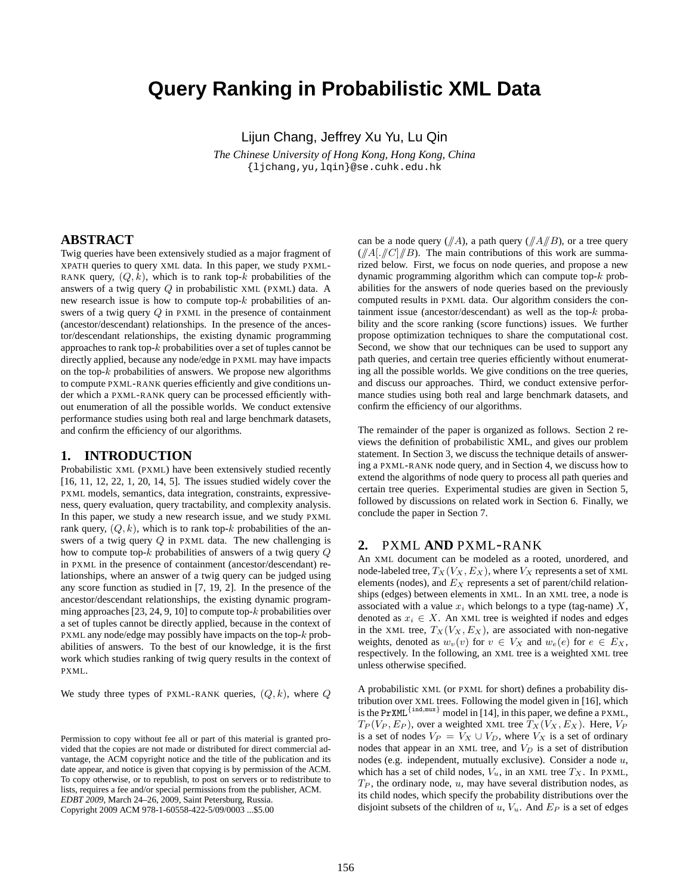# **Query Ranking in Probabilistic XML Data**

Lijun Chang, Jeffrey Xu Yu, Lu Qin

*The Chinese University of Hong Kong, Hong Kong, China* {ljchang,yu,lqin}@se.cuhk.edu.hk

#### **ABSTRACT**

Twig queries have been extensively studied as a major fragment of XPATH queries to query XML data. In this paper, we study PXML-RANK query,  $(Q, k)$ , which is to rank top-k probabilities of the answers of a twig query  $Q$  in probabilistic XML (PXML) data. A new research issue is how to compute top- $k$  probabilities of answers of a twig query Q in PXML in the presence of containment (ancestor/descendant) relationships. In the presence of the ancestor/descendant relationships, the existing dynamic programming approaches to rank top-k probabilities over a set of tuples cannot be directly applied, because any node/edge in PXML may have impacts on the top- $k$  probabilities of answers. We propose new algorithms to compute PXML-RANK queries efficiently and give conditions under which a PXML-RANK query can be processed efficiently without enumeration of all the possible worlds. We conduct extensive performance studies using both real and large benchmark datasets, and confirm the efficiency of our algorithms.

#### **1. INTRODUCTION**

Probabilistic XML (PXML) have been extensively studied recently [16, 11, 12, 22, 1, 20, 14, 5]. The issues studied widely cover the PXML models, semantics, data integration, constraints, expressiveness, query evaluation, query tractability, and complexity analysis. In this paper, we study a new research issue, and we study PXML rank query,  $(Q, k)$ , which is to rank top- $k$  probabilities of the answers of a twig query Q in PXML data. The new challenging is how to compute top- $k$  probabilities of answers of a twig query  $Q$ in PXML in the presence of containment (ancestor/descendant) relationships, where an answer of a twig query can be judged using any score function as studied in [7, 19, 2]. In the presence of the ancestor/descendant relationships, the existing dynamic programming approaches  $[23, 24, 9, 10]$  to compute top- $k$  probabilities over a set of tuples cannot be directly applied, because in the context of PXML any node/edge may possibly have impacts on the top- $k$  probabilities of answers. To the best of our knowledge, it is the first work which studies ranking of twig query results in the context of PXML.

We study three types of PXML-RANK queries,  $(Q, k)$ , where  $Q$ 

can be a node query  $(\sqrt{A})$ , a path query  $(\sqrt{A/B})$ , or a tree query  $(\angle A | \angle C | \angle B)$ . The main contributions of this work are summarized below. First, we focus on node queries, and propose a new dynamic programming algorithm which can compute top-k probabilities for the answers of node queries based on the previously computed results in PXML data. Our algorithm considers the containment issue (ancestor/descendant) as well as the top-k probability and the score ranking (score functions) issues. We further propose optimization techniques to share the computational cost. Second, we show that our techniques can be used to support any path queries, and certain tree queries efficiently without enumerating all the possible worlds. We give conditions on the tree queries, and discuss our approaches. Third, we conduct extensive performance studies using both real and large benchmark datasets, and confirm the efficiency of our algorithms.

The remainder of the paper is organized as follows. Section 2 reviews the definition of probabilistic XML, and gives our problem statement. In Section 3, we discuss the technique details of answering a PXML-RANK node query, and in Section 4, we discuss how to extend the algorithms of node query to process all path queries and certain tree queries. Experimental studies are given in Section 5, followed by discussions on related work in Section 6. Finally, we conclude the paper in Section 7.

#### **2.** PXML **AND** PXML-RANK

An XML document can be modeled as a rooted, unordered, and node-labeled tree,  $T_X(V_X, E_X)$ , where  $V_X$  represents a set of XML elements (nodes), and  $E<sub>X</sub>$  represents a set of parent/child relationships (edges) between elements in XML. In an XML tree, a node is associated with a value  $x_i$  which belongs to a type (tag-name) X, denoted as  $x_i \in X$ . An XML tree is weighted if nodes and edges in the XML tree,  $T_X(V_X, E_X)$ , are associated with non-negative weights, denoted as  $w_v(v)$  for  $v \in V_X$  and  $w_e(e)$  for  $e \in E_X$ , respectively. In the following, an XML tree is a weighted XML tree unless otherwise specified.

A probabilistic XML (or PXML for short) defines a probability distribution over XML trees. Following the model given in [16], which is the PrXML<sup>{ind,mux}</sup> model in [14], in this paper, we define a PXML,  $T_P(V_P, E_P)$ , over a weighted XML tree  $T_X(V_X, E_X)$ . Here,  $V_P$ is a set of nodes  $V_P = V_X \cup V_D$ , where  $V_X$  is a set of ordinary nodes that appear in an XML tree, and  $V_D$  is a set of distribution nodes (e.g. independent, mutually exclusive). Consider a node u, which has a set of child nodes,  $V_u$ , in an XML tree  $T_X$ . In PXML,  $T_P$ , the ordinary node,  $u$ , may have several distribution nodes, as its child nodes, which specify the probability distributions over the disjoint subsets of the children of  $u$ ,  $V_u$ . And  $E_P$  is a set of edges

Permission to copy without fee all or part of this material is granted provided that the copies are not made or distributed for direct commercial advantage, the ACM copyright notice and the title of the publication and its date appear, and notice is given that copying is by permission of the ACM. To copy otherwise, or to republish, to post on servers or to redistribute to lists, requires a fee and/or special permissions from the publisher, ACM. *EDBT 2009*, March 24–26, 2009, Saint Petersburg, Russia. Copyright 2009 ACM 978-1-60558-422-5/09/0003 ...\$5.00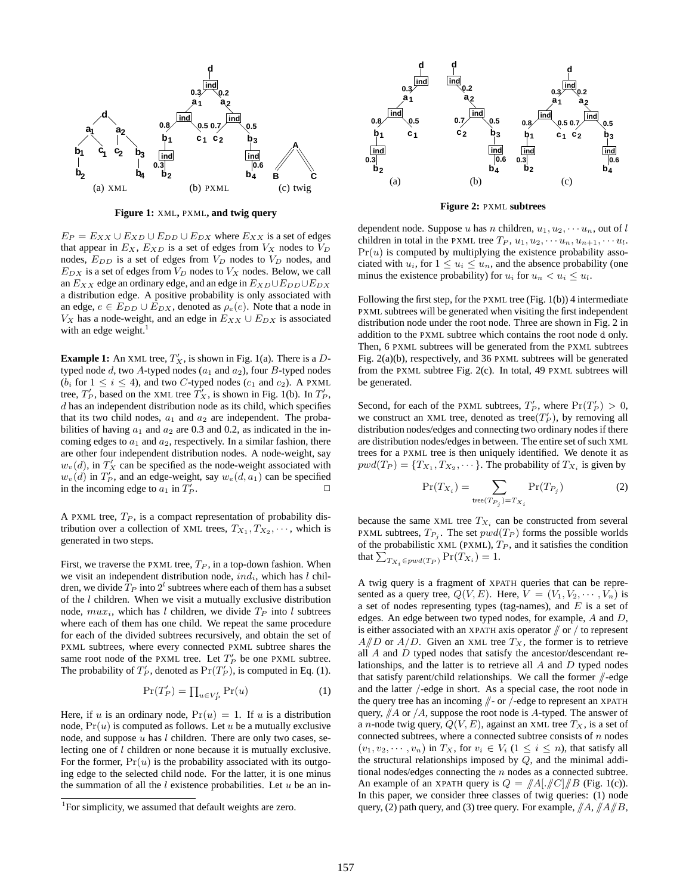

**Figure 1:** XML**,** PXML**, and twig query**

 $E_P = E_{XX} \cup E_{XD} \cup E_{DD} \cup E_{DX}$  where  $E_{XX}$  is a set of edges that appear in  $E_X$ ,  $E_{XD}$  is a set of edges from  $V_X$  nodes to  $V_D$ nodes,  $E_{DD}$  is a set of edges from  $V_D$  nodes to  $V_D$  nodes, and  $E_{DX}$  is a set of edges from  $V_D$  nodes to  $V_X$  nodes. Below, we call an  $E_{XX}$  edge an ordinary edge, and an edge in  $E_{XD} \cup E_{DD} \cup E_{DX}$ a distribution edge. A positive probability is only associated with an edge,  $e \in E_{DD} \cup E_{DX}$ , denoted as  $\rho_e(e)$ . Note that a node in  $V_X$  has a node-weight, and an edge in  $E_{XX} \cup E_{DX}$  is associated with an edge weight.<sup>1</sup>

**Example 1:** An XML tree,  $T'_X$ , is shown in Fig. 1(a). There is a  $D$ typed node  $d$ , two A-typed nodes ( $a_1$  and  $a_2$ ), four B-typed nodes ( $b_i$  for  $1 \le i \le 4$ ), and two C-typed nodes ( $c_1$  and  $c_2$ ). A PXML tree,  $T'_P$ , based on the XML tree  $T'_X$ , is shown in Fig. 1(b). In  $T'_P$ ,  $d$  has an independent distribution node as its child, which specifies that its two child nodes,  $a_1$  and  $a_2$  are independent. The probabilities of having  $a_1$  and  $a_2$  are 0.3 and 0.2, as indicated in the incoming edges to  $a_1$  and  $a_2$ , respectively. In a similar fashion, there are other four independent distribution nodes. A node-weight, say  $w_v(d)$ , in  $T'_X$  can be specified as the node-weight associated with  $w_v(d)$  in  $T'_P$ , and an edge-weight, say  $w_e(d, a_1)$  can be specified in the incoming edge to  $a_1$  in  $T'_1$  $\mathbb{P}$ .

A PXML tree,  $T_P$ , is a compact representation of probability distribution over a collection of XML trees,  $T_{X_1}, T_{X_2}, \cdots$ , which is generated in two steps.

First, we traverse the PXML tree,  $T_P$ , in a top-down fashion. When we visit an independent distribution node,  $ind_i$ , which has l children, we divide  $\overline{T_P}$  into  $2^l$  subtrees where each of them has a subset of the  $l$  children. When we visit a mutually exclusive distribution node,  $mu_{x_i}$ , which has l children, we divide  $T_P$  into l subtrees where each of them has one child. We repeat the same procedure for each of the divided subtrees recursively, and obtain the set of PXML subtrees, where every connected PXML subtree shares the same root node of the PXML tree. Let  $T'_P$  be one PXML subtree. The probability of  $T_P'$ , denoted as  $Pr(T_P')$ , is computed in Eq. (1).

$$
\Pr(T_P') = \prod_{u \in V_P'} \Pr(u) \tag{1}
$$

Here, if u is an ordinary node,  $Pr(u) = 1$ . If u is a distribution node,  $Pr(u)$  is computed as follows. Let u be a mutually exclusive node, and suppose  $u$  has  $l$  children. There are only two cases, selecting one of l children or none because it is mutually exclusive. For the former,  $Pr(u)$  is the probability associated with its outgoing edge to the selected child node. For the latter, it is one minus the summation of all the  $l$  existence probabilities. Let  $u$  be an in-



**Figure 2:** PXML **subtrees**

dependent node. Suppose u has n children,  $u_1, u_2, \cdots u_n$ , out of l children in total in the PXML tree  $T_P$ ,  $u_1, u_2, \cdots u_n, u_{n+1}, \cdots u_l$ .  $Pr(u)$  is computed by multiplying the existence probability associated with  $u_i$ , for  $1 \leq u_i \leq u_n$ , and the absence probability (one minus the existence probability) for  $u_i$  for  $u_n < u_i \leq u_l$ .

Following the first step, for the PXML tree (Fig. 1(b)) 4 intermediate PXML subtrees will be generated when visiting the first independent distribution node under the root node. Three are shown in Fig. 2 in addition to the PXML subtree which contains the root node d only. Then, 6 PXML subtrees will be generated from the PXML subtrees Fig. 2(a)(b), respectively, and 36 PXML subtrees will be generated from the PXML subtree Fig. 2(c). In total, 49 PXML subtrees will be generated.

Second, for each of the PXML subtrees,  $T'_P$ , where  $Pr(T'_P) > 0$ , we construct an XML tree, denoted as tree $(T'_P)$ , by removing all distribution nodes/edges and connecting two ordinary nodes if there are distribution nodes/edges in between. The entire set of such XML trees for a PXML tree is then uniquely identified. We denote it as  $\text{pwd}(T_P) = \{T_{X_1}, T_{X_2}, \dots\}$ . The probability of  $T_{X_i}$  is given by

$$
\Pr(T_{X_i}) = \sum_{\text{tree}(T_{P_j}) = T_{X_i}} \Pr(T_{P_j}) \tag{2}
$$

because the same XML tree  $T_{X_i}$  can be constructed from several PXML subtrees,  $T_{P_i}$ . The set  $pwd(T_P)$  forms the possible worlds of the probabilistic XML (PXML),  $T_P$ , and it satisfies the condition that  $\sum_{T_{X_i} \in pwd(T_P)} \Pr(T_{X_i}) = 1.$ 

A twig query is a fragment of XPATH queries that can be represented as a query tree,  $Q(V, E)$ . Here,  $V = (V_1, V_2, \dots, V_n)$  is a set of nodes representing types (tag-names), and  $E$  is a set of edges. An edge between two typed nodes, for example, A and D, is either associated with an XPATH axis operator  $/ \pi$  or  $/ \pi$  to represent  $A/D$  or  $A/D$ . Given an XML tree  $T_X$ , the former is to retrieve all  $A$  and  $D$  typed nodes that satisfy the ancestor/descendant relationships, and the latter is to retrieve all A and D typed nodes that satisfy parent/child relationships. We call the former  $\beta$ -edge and the latter /-edge in short. As a special case, the root node in the query tree has an incoming //- or /-edge to represent an XPATH query,  $/4$  or  $/4$ , suppose the root node is A-typed. The answer of a *n*-node twig query,  $Q(V, E)$ , against an XML tree  $T_X$ , is a set of connected subtrees, where a connected subtree consists of  $n$  nodes  $(v_1, v_2, \dots, v_n)$  in  $T_X$ , for  $v_i \in V_i$   $(1 \leq i \leq n)$ , that satisfy all the structural relationships imposed by Q, and the minimal additional nodes/edges connecting the n nodes as a connected subtree. An example of an XPATH query is  $Q = \frac{||A||}{||C||}$  (Fig. 1(c)). In this paper, we consider three classes of twig queries: (1) node query, (2) path query, and (3) tree query. For example,  $\|A\|_A \|A\|_B$ ,

<sup>&</sup>lt;sup>1</sup>For simplicity, we assumed that default weights are zero.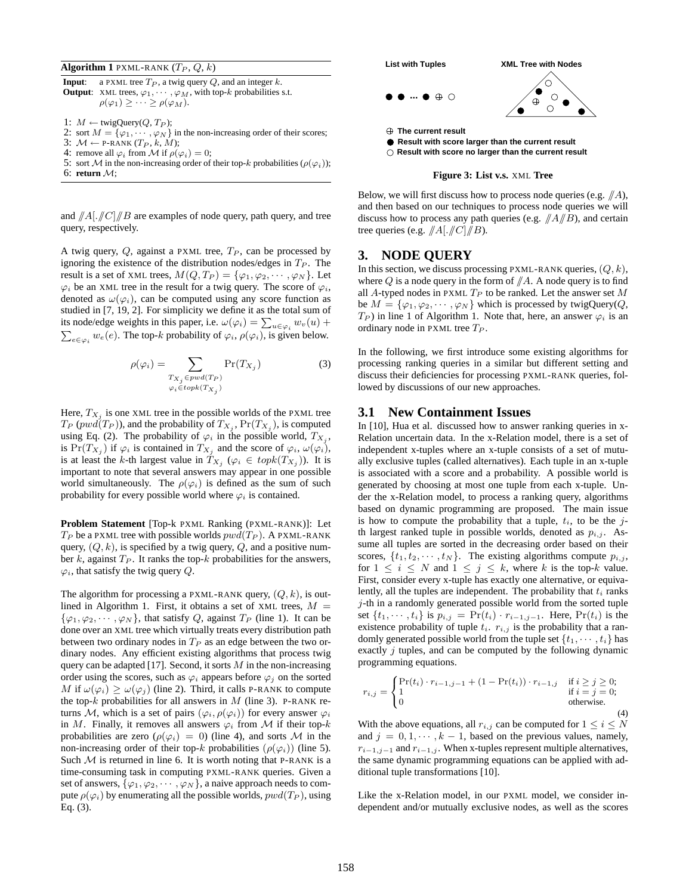**Algorithm 1** PXML-RANK  $(T_P, Q, k)$ 

**Input**: a PXML tree  $T_P$ , a twig query  $Q$ , and an integer  $k$ . **Output**: XML trees,  $\varphi_1, \cdots, \varphi_M$ , with top-k probabilities s.t.  $\rho(\varphi_1) \geq \cdots \geq \rho(\varphi_M).$ 

1:  $M \leftarrow \text{twigQuery}(Q, T_P);$ 

- 2: sort  $M = {\varphi_1, \cdots, \varphi_N}$  in the non-increasing order of their scores;
- 3:  $M \leftarrow$  P-RANK  $(T_P, k, M)$ ;
- 4: remove all  $\varphi_i$  from M if  $\rho(\varphi_i) = 0$ ;
- 5: sort M in the non-increasing order of their top-k probabilities ( $\rho(\varphi_i)$ ); 6: **return** M;

and  $\frac{1}{A}$ [. $\frac{1}{C}$ ]  $\frac{1}{B}$  are examples of node query, path query, and tree query, respectively.

A twig query,  $Q$ , against a PXML tree,  $T_P$ , can be processed by ignoring the existence of the distribution nodes/edges in  $T_P$ . The result is a set of XML trees,  $M(Q, T_P) = \{\varphi_1, \varphi_2, \cdots, \varphi_N\}$ . Let  $\varphi_i$  be an XML tree in the result for a twig query. The score of  $\varphi_i$ , denoted as  $\omega(\varphi_i)$ , can be computed using any score function as studied in [7, 19, 2]. For simplicity we define it as the total sum of its node/edge weights in this paper, i.e.  $\omega(\varphi_i) = \sum_{u \in \varphi_i} w_v(u) +$  $\sum_{e \in \varphi_i} w_e(e)$ . The top-k probability of  $\varphi_i$ ,  $\rho(\varphi_i)$ , is given below.

$$
\rho(\varphi_i) = \sum_{\substack{T_{X_j} \in \text{pwd}(T_P) \\ \varphi_i \in \text{topk}(T_{X_j})}} \Pr(T_{X_j}) \tag{3}
$$

Here,  $T_{X_i}$  is one XML tree in the possible worlds of the PXML tree  $T_P$  ( $pwd(T_P)$ ), and the probability of  $T_{X_i}$ ,  $Pr(T_{X_i})$ , is computed using Eq. (2). The probability of  $\varphi_i$  in the possible world,  $T_{X_i}$ , is  $Pr(T_{X_i})$  if  $\varphi_i$  is contained in  $T_{X_i}$  and the score of  $\varphi_i$ ,  $\omega(\varphi_i)$ , is at least the k-th largest value in  $T_{X_i}$  ( $\varphi_i \in topk(T_{X_i})$ ). It is important to note that several answers may appear in one possible world simultaneously. The  $\rho(\varphi_i)$  is defined as the sum of such probability for every possible world where  $\varphi_i$  is contained.

**Problem Statement** [Top-k PXML Ranking (PXML-RANK)]: Let  $T_P$  be a PXML tree with possible worlds  $pwd(T_P)$ . A PXML-RANK query,  $(Q, k)$ , is specified by a twig query,  $Q$ , and a positive number k, against  $T_P$ . It ranks the top-k probabilities for the answers,  $\varphi_i$ , that satisfy the twig query Q.

The algorithm for processing a PXML-RANK query,  $(Q, k)$ , is outlined in Algorithm 1. First, it obtains a set of XML trees,  $M =$  $\{\varphi_1, \varphi_2, \cdots, \varphi_N\}$ , that satisfy Q, against  $T_P$  (line 1). It can be done over an XML tree which virtually treats every distribution path between two ordinary nodes in  $T_P$  as an edge between the two ordinary nodes. Any efficient existing algorithms that process twig query can be adapted [17]. Second, it sorts  $M$  in the non-increasing order using the scores, such as  $\varphi_i$  appears before  $\varphi_j$  on the sorted M if  $\omega(\varphi_i) \geq \omega(\varphi_i)$  (line 2). Third, it calls P-RANK to compute the top-k probabilities for all answers in  $M$  (line 3). P-RANK returns M, which is a set of pairs  $(\varphi_i, \rho(\varphi_i))$  for every answer  $\varphi_i$ in M. Finally, it removes all answers  $\varphi_i$  from M if their top-k probabilities are zero ( $\rho(\varphi_i) = 0$ ) (line 4), and sorts M in the non-increasing order of their top-k probabilities ( $\rho(\varphi_i)$ ) (line 5). Such  $M$  is returned in line 6. It is worth noting that P-RANK is a time-consuming task in computing PXML-RANK queries. Given a set of answers,  $\{\varphi_1, \varphi_2, \cdots, \varphi_N\}$ , a naive approach needs to compute  $\rho(\varphi_i)$  by enumerating all the possible worlds,  $pwd(T_P)$ , using Eq. (3).



**Figure 3: List v.s.** XML **Tree**

Below, we will first discuss how to process node queries (e.g.  $/ \!\!/ A$ ), and then based on our techniques to process node queries we will discuss how to process any path queries (e.g.  $\sqrt{A/B}$ ), and certain tree queries (e.g.  $\sqrt{A}$ [. $\sqrt{C}$ ] $\sqrt{B}$ ).

## **3. NODE QUERY**

In this section, we discuss processing PXML-RANK queries,  $(Q, k)$ , where  $Q$  is a node query in the form of  $/\!\!/A$ . A node query is to find all A-typed nodes in PXML  $T_P$  to be ranked. Let the answer set  $M$ be  $M = {\varphi_1, \varphi_2, \cdots, \varphi_N}$  which is processed by twigQuery(*Q*,  $T_P$ ) in line 1 of Algorithm 1. Note that, here, an answer  $\varphi_i$  is an ordinary node in PXML tree  $T_P$ .

In the following, we first introduce some existing algorithms for processing ranking queries in a similar but different setting and discuss their deficiencies for processing PXML-RANK queries, followed by discussions of our new approaches.

#### **3.1 New Containment Issues**

In [10], Hua et al. discussed how to answer ranking queries in x-Relation uncertain data. In the x-Relation model, there is a set of independent x-tuples where an x-tuple consists of a set of mutually exclusive tuples (called alternatives). Each tuple in an x-tuple is associated with a score and a probability. A possible world is generated by choosing at most one tuple from each x-tuple. Under the x-Relation model, to process a ranking query, algorithms based on dynamic programming are proposed. The main issue is how to compute the probability that a tuple,  $t_i$ , to be the jth largest ranked tuple in possible worlds, denoted as  $p_{i,j}$ . Assume all tuples are sorted in the decreasing order based on their scores,  $\{t_1, t_2, \dots, t_N\}$ . The existing algorithms compute  $p_{i,j}$ , for  $1 \leq i \leq N$  and  $1 \leq j \leq k$ , where k is the top-k value. First, consider every x-tuple has exactly one alternative, or equivalently, all the tuples are independent. The probability that  $t_i$  ranks j-th in a randomly generated possible world from the sorted tuple set  $\{t_1, \dots, t_i\}$  is  $p_{i,j} = \Pr(t_i) \cdot r_{i-1,j-1}$ . Here,  $\Pr(t_i)$  is the existence probability of tuple  $t_i$ .  $r_{i,j}$  is the probability that a randomly generated possible world from the tuple set  $\{t_1, \cdots, t_i\}$  has exactly  $j$  tuples, and can be computed by the following dynamic programming equations.

$$
r_{i,j} = \begin{cases} \Pr(t_i) \cdot r_{i-1,j-1} + (1 - \Pr(t_i)) \cdot r_{i-1,j} & \text{if } i \geq j \geq 0; \\ 1 & \text{if } i = j = 0; \\ 0 & \text{otherwise.} \end{cases}
$$
(4)

With the above equations, all  $r_{i,j}$  can be computed for  $1 \leq i \leq N$ and  $j = 0, 1, \dots, k - 1$ , based on the previous values, namely,  $r_{i-1,j-1}$  and  $r_{i-1,j}$ . When x-tuples represent multiple alternatives, the same dynamic programming equations can be applied with additional tuple transformations [10].

Like the x-Relation model, in our PXML model, we consider independent and/or mutually exclusive nodes, as well as the scores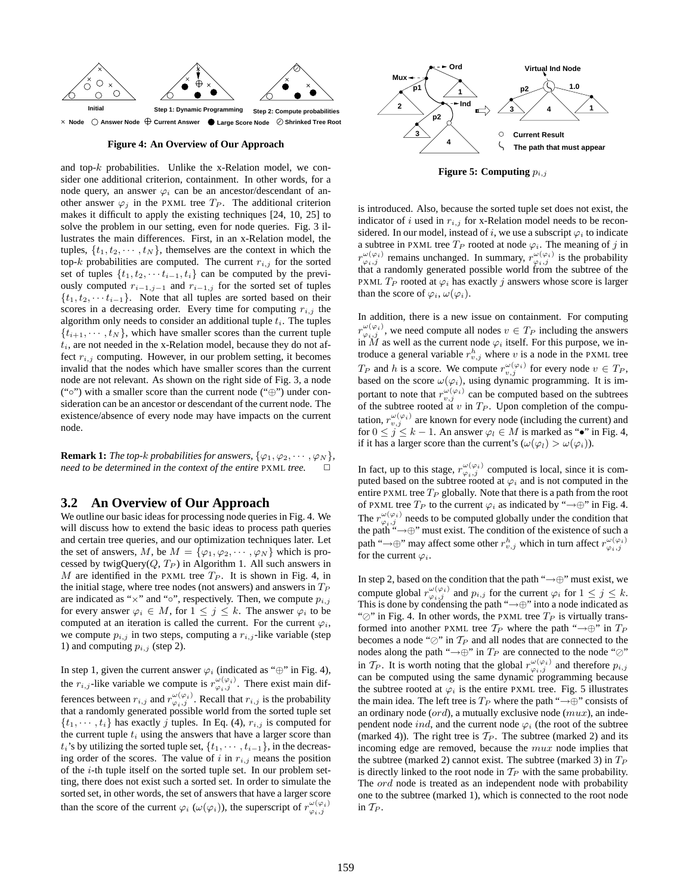

#### **Figure 4: An Overview of Our Approach**

and top- $k$  probabilities. Unlike the x-Relation model, we consider one additional criterion, containment. In other words, for a node query, an answer  $\varphi_i$  can be an ancestor/descendant of another answer  $\varphi_i$  in the PXML tree  $T_P$ . The additional criterion makes it difficult to apply the existing techniques [24, 10, 25] to solve the problem in our setting, even for node queries. Fig. 3 illustrates the main differences. First, in an x-Relation model, the tuples,  $\{t_1, t_2, \dots, t_N\}$ , themselves are the context in which the top-k probabilities are computed. The current  $r_{i,j}$  for the sorted set of tuples  $\{t_1, t_2, \cdots t_{i-1}, t_i\}$  can be computed by the previously computed  $r_{i-1,j-1}$  and  $r_{i-1,j}$  for the sorted set of tuples  $\{t_1, t_2, \cdots t_{i-1}\}.$  Note that all tuples are sorted based on their scores in a decreasing order. Every time for computing  $r_{i,j}$  the algorithm only needs to consider an additional tuple  $t_i$ . The tuples  $\{t_{i+1}, \dots, t_N\}$ , which have smaller scores than the current tuple  $t_i$ , are not needed in the x-Relation model, because they do not affect  $r_{i,j}$  computing. However, in our problem setting, it becomes invalid that the nodes which have smaller scores than the current node are not relevant. As shown on the right side of Fig. 3, a node ("◦") with a smaller score than the current node ("⊕") under consideration can be an ancestor or descendant of the current node. The existence/absence of every node may have impacts on the current node.

**Remark 1:** *The top-k probabilities for answers,*  $\{\varphi_1, \varphi_2, \cdots, \varphi_N\}$ *, need to be determined in the context of the entire* PXML *tree.* 

#### **3.2 An Overview of Our Approach**

We outline our basic ideas for processing node queries in Fig. 4. We will discuss how to extend the basic ideas to process path queries and certain tree queries, and our optimization techniques later. Let the set of answers, M, be  $M = {\varphi_1, \varphi_2, \cdots, \varphi_N}$  which is processed by twigQuery $(Q, T_P)$  in Algorithm 1. All such answers in M are identified in the PXML tree  $T_P$ . It is shown in Fig. 4, in the initial stage, where tree nodes (not answers) and answers in  $T_P$ are indicated as " $\times$ " and "∘", respectively. Then, we compute  $p_{i,j}$ for every answer  $\varphi_i \in M$ , for  $1 \leq j \leq k$ . The answer  $\varphi_i$  to be computed at an iteration is called the current. For the current  $\varphi_i$ , we compute  $p_{i,j}$  in two steps, computing a  $r_{i,j}$ -like variable (step 1) and computing  $p_{i,j}$  (step 2).

In step 1, given the current answer  $\varphi_i$  (indicated as "⊕" in Fig. 4), the  $r_{i,j}$ -like variable we compute is  $r^{\omega(\varphi_i)}_{\varphi_i,j}$ . There exist main differences between  $r_{i,j}$  and  $r^{\omega(\varphi_i)}_{\varphi_i,j}$ . Recall that  $r_{i,j}$  is the probability that a randomly generated possible world from the sorted tuple set  $\{t_1, \dots, t_i\}$  has exactly j tuples. In Eq. (4),  $r_{i,j}$  is computed for the current tuple  $t_i$  using the answers that have a larger score than  $t_i$ 's by utilizing the sorted tuple set,  $\{t_1, \dots, t_{i-1}\}$ , in the decreasing order of the scores. The value of i in  $r_{i,j}$  means the position of the i-th tuple itself on the sorted tuple set. In our problem setting, there does not exist such a sorted set. In order to simulate the sorted set, in other words, the set of answers that have a larger score than the score of the current  $\varphi_i(\omega(\varphi_i))$ , the superscript of  $r_{\varphi_i,j}^{\omega(\varphi_i)}$ 



**Figure 5: Computing**  $p_{i,j}$ 

is introduced. Also, because the sorted tuple set does not exist, the indicator of i used in  $r_{i,j}$  for x-Relation model needs to be reconsidered. In our model, instead of i, we use a subscript  $\varphi_i$  to indicate a subtree in PXML tree  $T_P$  rooted at node  $\varphi_i$ . The meaning of j in  $r^{\omega(\varphi_i)}_{\varphi_i,j}$  remains unchanged. In summary,  $r^{\omega(\varphi_i)}_{\varphi_i,j}$  is the probability that a randomly generated possible world from the subtree of the PXML  $T_P$  rooted at  $\varphi_i$  has exactly j answers whose score is larger than the score of  $\varphi_i$ ,  $\omega(\varphi_i)$ .

In addition, there is a new issue on containment. For computing  $r^{\omega(\varphi_i)}_{\varphi_i,j}$ , we need compute all nodes  $v \in T_P$  including the answers in  $\tilde{M}$  as well as the current node  $\varphi_i$  itself. For this purpose, we introduce a general variable  $r_{v,j}^h$  where v is a node in the PXML tree  $T_P$  and h is a score. We compute  $r_{v,j}^{\omega(\varphi_i)}$  for every node  $v \in T_P$ , based on the score  $\omega(\varphi_i)$ , using dynamic programming. It is important to note that  $r_{v,j}^{\omega(\varphi_i)}$  can be computed based on the subtrees of the subtree rooted at  $v$  in  $T_P$ . Upon completion of the computation,  $r_{v,j}^{\omega(\varphi_i)}$  are known for every node (including the current) and for  $0 \le j \le k - 1$ . An answer  $\varphi_l \in M$  is marked as "•" in Fig. 4, if it has a larger score than the current's  $(\omega(\varphi_l) > \omega(\varphi_i))$ .

In fact, up to this stage,  $r^{\omega(\varphi_i)}_{\varphi_i,j}$  computed is local, since it is computed based on the subtree rooted at  $\varphi_i$  and is not computed in the entire PXML tree  $T_P$  globally. Note that there is a path from the root of PXML tree  $T_P$  to the current  $\varphi_i$  as indicated by " $\rightarrow \oplus$ " in Fig. 4. The  $r^{\omega(\varphi_i)}_{\varphi_i,j}$  needs to be computed globally under the condition that the  $\varphi_i$ ,  $\varphi_i$  hecas to be compared ground and the existence of such a the path " $\rightarrow \oplus$ " must exist. The condition of the existence of such a path " $\rightarrow \oplus$ " may affect some other  $r_{v,j}^h$  which in turn affect  $r_{\varphi_i,j}^{\omega(\varphi_i)}$ for the current  $\varphi_i$ .

In step 2, based on the condition that the path " $\rightarrow \oplus$ " must exist, we compute global  $r^{\omega(\varphi_i)}_{\varphi_i,j}$  and  $p_{i,j}$  for the current  $\varphi_i$  for  $1 \leq j \leq k$ . This is done by condensing the path " $\rightarrow \oplus$ " into a node indicated as " $\oslash$ " in Fig. 4. In other words, the PXML tree  $T_P$  is virtually transformed into another PXML tree  $T_P$  where the path " $\rightarrow \oplus$ " in  $T_P$ becomes a node " $\oslash$ " in  $\mathcal{T}_P$  and all nodes that are connected to the nodes along the path " $\rightarrow \oplus$ " in  $T_P$  are connected to the node " $\oslash$ " in  $\mathcal{T}_P$ . It is worth noting that the global  $r^{\omega(\varphi_i)}_{\varphi_i,j}$  and therefore  $p_{i,j}$ can be computed using the same dynamic programming because the subtree rooted at  $\varphi_i$  is the entire PXML tree. Fig. 5 illustrates the main idea. The left tree is  $T_P$  where the path " $\rightarrow \oplus$ " consists of an ordinary node  $(ord)$ , a mutually exclusive node  $(mux)$ , an independent node *ind*, and the current node  $\varphi_i$  (the root of the subtree (marked 4)). The right tree is  $T_P$ . The subtree (marked 2) and its incoming edge are removed, because the mux node implies that the subtree (marked 2) cannot exist. The subtree (marked 3) in  $T_P$ is directly linked to the root node in  $T_P$  with the same probability. The *ord* node is treated as an independent node with probability one to the subtree (marked 1), which is connected to the root node in  $T_P$ .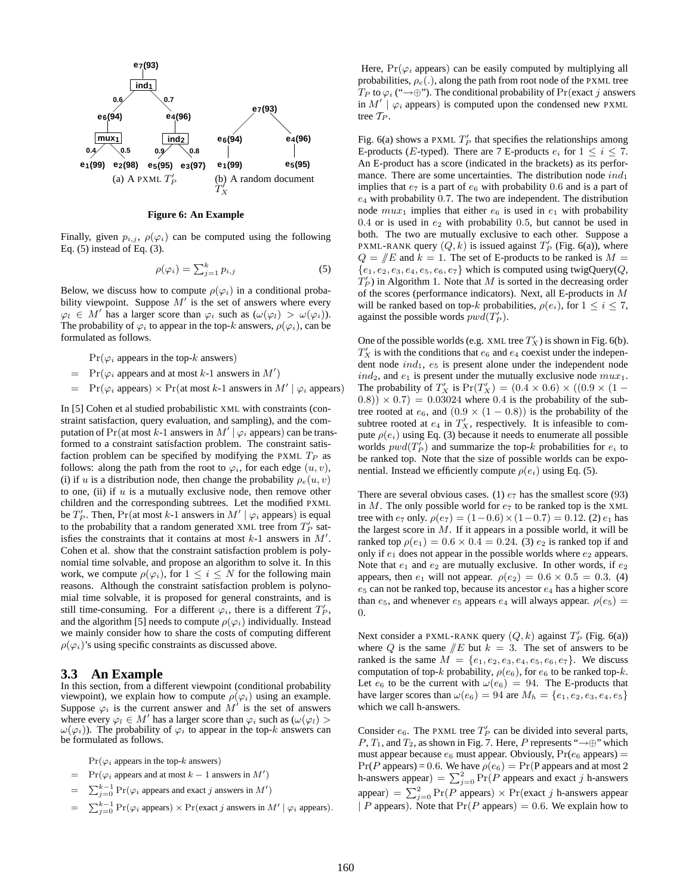

#### **Figure 6: An Example**

Finally, given  $p_{i,j}$ ,  $\rho(\varphi_i)$  can be computed using the following Eq. (5) instead of Eq. (3).

$$
\rho(\varphi_i) = \sum_{j=1}^k p_{i,j} \tag{5}
$$

Below, we discuss how to compute  $\rho(\varphi_i)$  in a conditional probability viewpoint. Suppose  $M'$  is the set of answers where every  $\varphi_l \in M'$  has a larger score than  $\varphi_i$  such as  $(\omega(\varphi_l) > \omega(\varphi_i))$ . The probability of  $\varphi_i$  to appear in the top-k answers,  $\rho(\varphi_i)$ , can be formulated as follows.

 $Pr(\varphi_i)$  appears in the top-k answers)

- $=$  Pr( $\varphi_i$  appears and at most k-1 answers in M')
- $= \Pr(\varphi_i \text{ appears}) \times \Pr(\text{at most } k-1 \text{ answers in } M' \mid \varphi_i \text{ appears})$

In [5] Cohen et al studied probabilistic XML with constraints (constraint satisfaction, query evaluation, and sampling), and the computation of Pr(at most k-1 answers in  $M' | \varphi_i$  appears) can be transformed to a constraint satisfaction problem. The constraint satisfaction problem can be specified by modifying the PXML  $T_P$  as follows: along the path from the root to  $\varphi_i$ , for each edge  $(u, v)$ , (i) if u is a distribution node, then change the probability  $\rho_e(u, v)$ to one, (ii) if  $u$  is a mutually exclusive node, then remove other children and the corresponding subtrees. Let the modified PXML be  $T'_P$ . Then, Pr(at most k-1 answers in  $M' | \varphi_i$  appears) is equal to the probability that a random generated XML tree from  $T'_P$  satisfies the constraints that it contains at most  $k-1$  answers in  $M'$ . Cohen et al. show that the constraint satisfaction problem is polynomial time solvable, and propose an algorithm to solve it. In this work, we compute  $\rho(\varphi_i)$ , for  $1 \leq i \leq N$  for the following main reasons. Although the constraint satisfaction problem is polynomial time solvable, it is proposed for general constraints, and is still time-consuming. For a different  $\varphi_i$ , there is a different  $T_P'$ , and the algorithm [5] needs to compute  $\rho(\varphi_i)$  individually. Instead we mainly consider how to share the costs of computing different  $\rho(\varphi_i)$ 's using specific constraints as discussed above.

## **3.3 An Example**

In this section, from a different viewpoint (conditional probability viewpoint), we explain how to compute  $\rho(\varphi_i)$  using an example. Suppose  $\varphi_i$  is the current answer and  $M'$  is the set of answers where every  $\varphi_l \in M'$  has a larger score than  $\varphi_i$  such as  $(\omega(\varphi_l) >$  $\omega(\varphi_i)$ ). The probability of  $\varphi_i$  to appear in the top-k answers can be formulated as follows.

 $Pr(\varphi_i)$  appears in the top-k answers)

- $= Pr(\varphi_i)$  appears and at most  $k-1$  answers in  $M'$ )
- =  $\sum_{j=0}^{k-1} \Pr(\varphi_i)$  appears and exact j answers in  $M'$ )
- =  $\sum_{j=0}^{k-1} \Pr(\varphi_i \text{ appears}) \times \Pr(\text{exact } j \text{ answers in } M' \mid \varphi_i \text{ appears}).$

Here,  $Pr(\varphi_i)$  appears) can be easily computed by multiplying all probabilities,  $\rho_e(.)$ , along the path from root node of the PXML tree  $T_P$  to  $\varphi_i$  (" $\rightarrow \oplus$ "). The conditional probability of Pr(exact j answers in  $M' \mid \varphi_i$  appears) is computed upon the condensed new PXML tree  $T_P$ .

Fig. 6(a) shows a PXML  $T'_P$  that specifies the relationships among E-products (*E*-typed). There are 7 E-products  $e_i$  for  $1 \le i \le 7$ . An E-product has a score (indicated in the brackets) as its performance. There are some uncertainties. The distribution node  $ind_1$ implies that  $e_7$  is a part of  $e_6$  with probability 0.6 and is a part of  $e_4$  with probability 0.7. The two are independent. The distribution node  $mu x_1$  implies that either  $e_6$  is used in  $e_1$  with probability  $0.4$  or is used in  $e_2$  with probability 0.5, but cannot be used in both. The two are mutually exclusive to each other. Suppose a PXML-RANK query  $(Q, k)$  is issued against  $T'_P$  (Fig. 6(a)), where  $Q = \mathbb{E}$  and  $k = 1$ . The set of E-products to be ranked is  $M =$  ${e_1, e_2, e_3, e_4, e_5, e_6, e_7}$  which is computed using twigQuery(Q,  $T_P'$ ) in Algorithm 1. Note that M is sorted in the decreasing order of the scores (performance indicators). Next, all E-products in M will be ranked based on top-k probabilities,  $\rho(e_i)$ , for  $1 \leq i \leq 7$ , against the possible words  $pwd(T_P')$ .

One of the possible worlds (e.g. XML tree  $T_X'$ ) is shown in Fig. 6(b).  $T'_X$  is with the conditions that  $e_6$  and  $e_4$  coexist under the independent node  $ind_1$ ,  $e_5$  is present alone under the independent node  $ind_2$ , and  $e_1$  is present under the mutually exclusive node  $mu_1$ . The probability of  $T'_X$  is  $Pr(T'_X) = (0.4 \times 0.6) \times ((0.9 \times (1 (0.8)$   $\times$  0.7) = 0.03024 where 0.4 is the probability of the subtree rooted at  $e_6$ , and  $(0.9 \times (1 - 0.8))$  is the probability of the subtree rooted at  $e_4$  in  $T'_X$ , respectively. It is infeasible to compute  $\rho(e_i)$  using Eq. (3) because it needs to enumerate all possible worlds  $pwd(T_P)$  and summarize the top-k probabilities for  $e_i$  to be ranked top. Note that the size of possible worlds can be exponential. Instead we efficiently compute  $\rho(e_i)$  using Eq. (5).

There are several obvious cases. (1)  $e_7$  has the smallest score (93) in M. The only possible world for  $e_7$  to be ranked top is the XML tree with  $e_7$  only.  $\rho(e_7) = (1 - 0.6) \times (1 - 0.7) = 0.12$ . (2)  $e_1$  has the largest score in  $M$ . If it appears in a possible world, it will be ranked top  $\rho(e_1) = 0.6 \times 0.4 = 0.24$ . (3)  $e_2$  is ranked top if and only if  $e_1$  does not appear in the possible worlds where  $e_2$  appears. Note that  $e_1$  and  $e_2$  are mutually exclusive. In other words, if  $e_2$ appears, then  $e_1$  will not appear.  $\rho(e_2) = 0.6 \times 0.5 = 0.3$ . (4)  $e<sub>5</sub>$  can not be ranked top, because its ancestor  $e<sub>4</sub>$  has a higher score than  $e_5$ , and whenever  $e_5$  appears  $e_4$  will always appear.  $\rho(e_5)$  = 0.

Next consider a PXML-RANK query  $(Q, k)$  against  $T'_P$  (Fig. 6(a)) where Q is the same  $/E$  but  $k = 3$ . The set of answers to be ranked is the same  $M = \{e_1, e_2, e_3, e_4, e_5, e_6, e_7\}$ . We discuss computation of top-k probability,  $\rho(e_6)$ , for  $e_6$  to be ranked top-k. Let  $e_6$  to be the current with  $\omega(e_6) = 94$ . The E-products that have larger scores than  $\omega(e_6) = 94$  are  $M_h = \{e_1, e_2, e_3, e_4, e_5\}$ which we call h-answers.

Consider  $e_6$ . The PXML tree  $T'_P$  can be divided into several parts, P,  $T_1$ , and  $T_2$ , as shown in Fig. 7. Here, P represents " $\rightarrow \oplus$ " which must appear because  $e_6$  must appear. Obviously,  $Pr(e_6$  appears) =  $Pr(P \text{ appears}) = 0.6$ . We have  $\rho(e_6) = Pr(P \text{ appears and at most } 2)$ h-answers appear) =  $\sum_{j=0}^{2} \Pr(P)$  appears and exact j h-answers appear) =  $\sum_{j=0}^{2} \Pr(P \text{ appears}) \times \Pr(\text{exact } j \text{ h-answers appear})$ | P appears). Note that  $Pr(P$  appears) = 0.6. We explain how to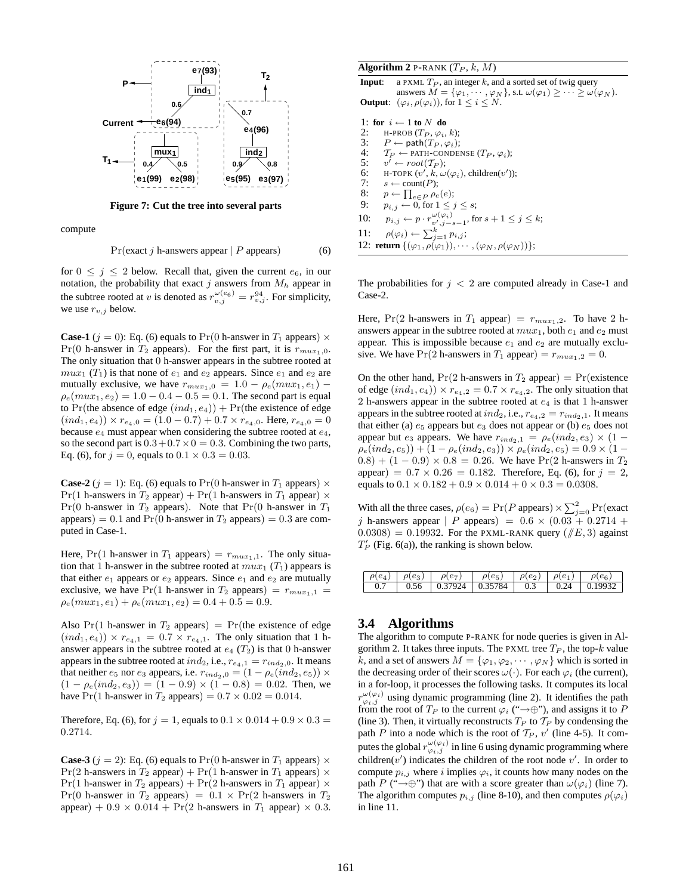

**Figure 7: Cut the tree into several parts**

compute

$$
Pr(exact j h-answers appear | P appears)
$$
 (6)

for  $0 \leq j \leq 2$  below. Recall that, given the current  $e_6$ , in our notation, the probability that exact j answers from  $M_h$  appear in the subtree rooted at v is denoted as  $r_{v,j}^{\omega(e_6)} = r_{v,j}^{94}$ . For simplicity, we use  $r_{v,j}$  below.

**Case-1** ( $j = 0$ ): Eq. (6) equals to Pr(0 h-answer in  $T_1$  appears)  $\times$  $Pr(0 \text{ h-answer in } T_2 \text{ appears})$ . For the first part, it is  $r_{max_1,0}$ . The only situation that 0 h-answer appears in the subtree rooted at  $mu x_1$  (T<sub>1</sub>) is that none of  $e_1$  and  $e_2$  appears. Since  $e_1$  and  $e_2$  are mutually exclusive, we have  $r_{mu x_1,0} = 1.0 - \rho_e(m u x_1, e_1)$  –  $\rho_e(mux_1, e_2) = 1.0 - 0.4 - 0.5 = 0.1$ . The second part is equal to Pr(the absence of edge  $(ind_1, e_4)) + Pr(the existence of edge$  $(ind_1, e_4) \times r_{e_4,0} = (1.0 - 0.7) + 0.7 \times r_{e_4,0}$ . Here,  $r_{e_4,0} = 0$ because  $e_4$  must appear when considering the subtree rooted at  $e_4$ , so the second part is  $0.3 + 0.7 \times 0 = 0.3$ . Combining the two parts, Eq. (6), for  $j = 0$ , equals to  $0.1 \times 0.3 = 0.03$ .

**Case-2** ( $j = 1$ ): Eq. (6) equals to Pr(0 h-answer in  $T_1$  appears)  $\times$ Pr(1 h-answers in  $T_2$  appear) + Pr(1 h-answers in  $T_1$  appear)  $\times$  $Pr(0 \text{ h-answer in } T_2 \text{ appears}).$  Note that  $Pr(0 \text{ h-answer in } T_1$ appears) = 0.1 and  $Pr(0 h\text{-answer in }T_2 \text{ appears}) = 0.3$  are computed in Case-1.

Here, Pr(1 h-answer in  $T_1$  appears) =  $r_{mu x_1,1}$ . The only situation that 1 h-answer in the subtree rooted at  $mu_{x_1}(T_1)$  appears is that either  $e_1$  appears or  $e_2$  appears. Since  $e_1$  and  $e_2$  are mutually exclusive, we have Pr(1 h-answer in  $T_2$  appears) =  $r_{max_1,1}$  =  $\rho_e(mux_1, e_1) + \rho_e(mux_1, e_2) = 0.4 + 0.5 = 0.9.$ 

Also  $Pr(1)$  h-answer in  $T_2$  appears) =  $Pr(1)$  the existence of edge  $(ind_1, e_4)$   $\times r_{e_4,1} = 0.7 \times r_{e_4,1}$ . The only situation that 1 hanswer appears in the subtree rooted at  $e_4$  ( $T_2$ ) is that 0 h-answer appears in the subtree rooted at  $ind_2$ , i.e.,  $r_{e_4,1} = r_{ind_2,0}$ . It means that neither  $e_5$  nor  $e_3$  appears, i.e.  $r_{ind_2,0} = \left(1-\rho_e(ind_2,e_5)\right) \times$  $(1 - \rho_e (ind_2, e_3)) = (1 - 0.9) \times (1 - 0.8) = 0.02$ . Then, we have Pr(1 h-answer in  $T_2$  appears) =  $0.7 \times 0.02 = 0.014$ .

Therefore, Eq. (6), for  $j = 1$ , equals to  $0.1 \times 0.014 + 0.9 \times 0.3 =$ 0.2714.

**Case-3** ( $j = 2$ ): Eq. (6) equals to Pr(0 h-answer in  $T_1$  appears)  $\times$  $Pr(2 \text{ h-answers in } T_2 \text{ appear}) + Pr(1 \text{ h-answer in } T_1 \text{ appears}) \times$  $Pr(1 \text{ h-answer in } T_2 \text{ appears}) + Pr(2 \text{ h-answers in } T_1 \text{ appear}) \times$ Pr(0 h-answer in  $T_2$  appears) =  $0.1 \times Pr(2$  h-answers in  $T_2$ appear) +  $0.9 \times 0.014$  + Pr(2 h-answers in  $T_1$  appear)  $\times$  0.3.

#### **Algorithm 2** P-RANK  $(T_P, k, M)$

**Input**: a PXML  $T_P$ , an integer k, and a sorted set of twig query answers  $M = {\varphi_1, \cdots, \varphi_N}$ , s.t.  $\omega(\varphi_1) \geq \cdots \geq \omega(\varphi_N)$ . **Output**:  $(\varphi_i, \rho(\varphi_i))$ , for  $1 \leq i \leq N$ .

|     | 1: for $i \leftarrow 1$ to N do                                                           |
|-----|-------------------------------------------------------------------------------------------|
| 2:  | H-PROB $(T_P, \varphi_i, k)$ ;                                                            |
| 3:  | $P \leftarrow \mathsf{path}(T_P, \varphi_i);$                                             |
| 4:  | $T_P \leftarrow$ PATH-CONDENSE $(T_P, \varphi_i)$ ;                                       |
| 5:  | $v' \leftarrow root(\mathcal{T}_P)$ ;                                                     |
| 6:  | H-TOPK $(v', k, \omega(\varphi_i))$ , children $(v')$ ;                                   |
| 7:  | $s \leftarrow \text{count}(P)$ ;                                                          |
| 8:  | $p \leftarrow \prod_{e \in P} \rho_e(e);$                                                 |
| 9:  | $p_{i,j} \leftarrow 0$ , for $1 \leq j \leq s$ ;                                          |
| 10: | $p_{i,j} \leftarrow p \cdot r_{v',j-s-1}^{\omega(\varphi_i)}$ , for $s+1 \leq j \leq k$ ; |
| 11: | $\rho(\varphi_i) \leftarrow \sum_{j=1}^k p_{i,j};$                                        |
|     | 12: return $\{(\varphi_1, \rho(\varphi_1)), \cdots, (\varphi_N, \rho(\varphi_N))\};$      |

The probabilities for  $j < 2$  are computed already in Case-1 and Case-2.

Here,  $Pr(2 \text{ h-answers in } T_1 \text{ appear}) = r_{max_1,2}$ . To have 2 hanswers appear in the subtree rooted at  $mu_{x_1}$ , both  $e_1$  and  $e_2$  must appear. This is impossible because  $e_1$  and  $e_2$  are mutually exclusive. We have Pr(2 h-answers in  $T_1$  appear) =  $r_{max_1,2} = 0$ .

On the other hand,  $Pr(2 \text{ h-answers in } T_2 \text{ appear}) = Pr(existence)$ of edge  $(ind_1, e_4) \rangle \times r_{e_4,2} = 0.7 \times r_{e_4,2}$ . The only situation that 2 h-answers appear in the subtree rooted at  $e_4$  is that 1 h-answer appears in the subtree rooted at  $ind_2$ , i.e.,  $r_{e_4,2} = r_{ind_2,1}$ . It means that either (a)  $e_5$  appears but  $e_3$  does not appear or (b)  $e_5$  does not appear but  $e_3$  appears. We have  $r_{ind_2,1} = \rho_e (ind_2, e_3) \times (1 \rho_e(ind_2, e_5) + (1 - \rho_e(ind_2, e_3)) \times \rho_e(ind_2, e_5) = 0.9 \times (1 (0.8) + (1 - 0.9) \times 0.8 = 0.26$ . We have Pr(2 h-answers in  $T_2$ ) appear) =  $0.7 \times 0.26 = 0.182$ . Therefore, Eq. (6), for  $j = 2$ , equals to  $0.1 \times 0.182 + 0.9 \times 0.014 + 0 \times 0.3 = 0.0308$ .

With all the three cases,  $\rho(e_6) = \Pr(P \text{ appears}) \times \sum_{j=0}^{2} \Pr(\text{exact})$ j h-answers appear | P appears) =  $0.6 \times (0.03 + 0.2714 +$  $(0.0308) = 0.19932$ . For the PXML-RANK query  $(\sqrt{\smash[b]{E}}, 3)$  against  $T_P'$  (Fig. 6(a)), the ranking is shown below.

| $\rho(e_4)   \rho(e_3)$ |      | $\rho(e_7)$ | $\rho(e_5)$                          |           | $\rho(e_2)$ $\rho(e_1)$ | $\rho(e_6)$        |
|-------------------------|------|-------------|--------------------------------------|-----------|-------------------------|--------------------|
|                         | 0.56 |             | $\mid$ 0.37924 $\mid$ 0.35784 $\mid$ | $1 \t0.3$ |                         | $0.24 \pm 0.19932$ |

#### **3.4 Algorithms**

The algorithm to compute P-RANK for node queries is given in Algorithm 2. It takes three inputs. The PXML tree  $T_P$ , the top-k value k, and a set of answers  $M = {\varphi_1, \varphi_2, \cdots, \varphi_N}$  which is sorted in the decreasing order of their scores  $\omega(\cdot)$ . For each  $\varphi_i$  (the current), in a for-loop, it processes the following tasks. It computes its local  $r^{\omega(\varphi_i)}_{\varphi_i,j}$  using dynamic programming (line 2). It identifies the path from the root of  $T_P$  to the current  $\varphi_i$  (" $\rightarrow \oplus$ "), and assigns it to P (line 3). Then, it virtually reconstructs  $T_P$  to  $T_P$  by condensing the path P into a node which is the root of  $T_P$ , v' (line 4-5). It computes the global  $r^{\omega(\varphi_i)}_{\varphi_i,j}$  in line 6 using dynamic programming where children( $v'$ ) indicates the children of the root node  $v'$ . In order to compute  $p_{i,j}$  where i implies  $\varphi_i$ , it counts how many nodes on the path P (" $\rightarrow$ ⊕") that are with a score greater than  $\omega(\varphi_i)$  (line 7). The algorithm computes  $p_{i,j}$  (line 8-10), and then computes  $\rho(\varphi_i)$ in line 11.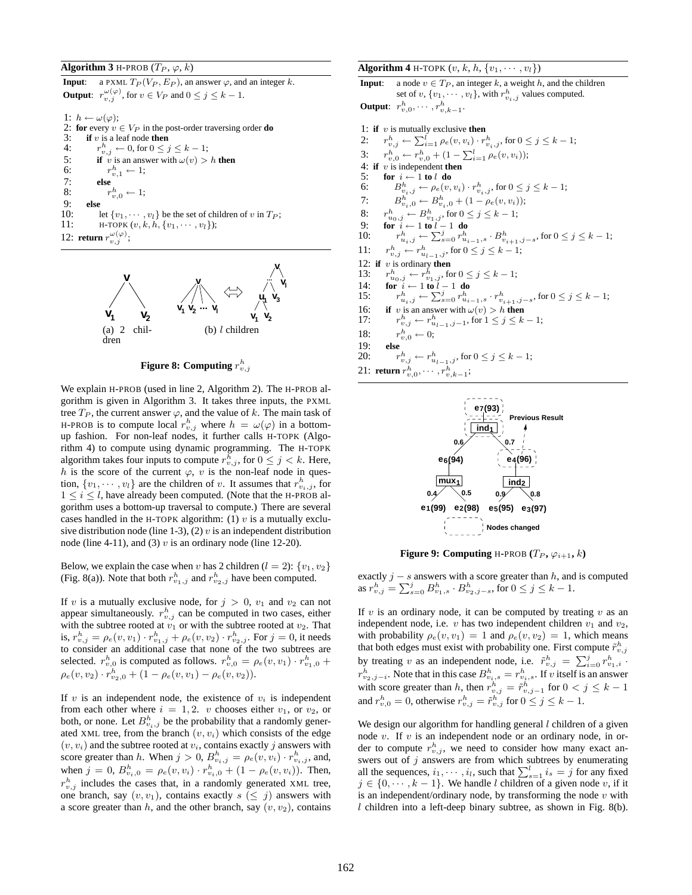**Algorithm 3** H-PROB  $(T_P, \varphi, k)$ 

**Input**: a PXML  $T_P(V_P, E_P)$ , an answer  $\varphi$ , and an integer k. **Output**:  $r_{v,j}^{\omega(\varphi)}$ , for  $v \in V_P$  and  $0 \le j \le k-1$ .

1:  $h \leftarrow \omega(\varphi);$ 2: **for** every  $v \in V_P$  in the post-order traversing order **do**<br>3: **if** v is a leaf node **then** if  $v$  is a leaf node then  $4:$  $\frac{h}{v,j} \leftarrow 0$ , for  $0 \leq j \leq k-1$ ; 5: **if** v is an answer with  $\omega(v) > h$  **then**<br>6:  $r_{n+1}^h \leftarrow 1$ ; 6:  $r_{v,1}^h \leftarrow 1;$ 7: **else**  $\frac{8}{9}$  $v^h_{v,0} \leftarrow 1;$ 9: **else** let  $\{v_1, \dots, v_l\}$  be the set of children of v in  $T_P$ ; 11: **H-TOPK**  $(v, k, h, \{v_1, \dots, v_l\})$ ; 12: **return**  $r_{v,j}^{\omega(\varphi)}$ ;



**Figure 8: Computing**  $r_{v,j}^h$ 

We explain H-PROB (used in line 2, Algorithm 2). The H-PROB algorithm is given in Algorithm 3. It takes three inputs, the PXML tree  $T_P$ , the current answer  $\varphi$ , and the value of k. The main task of H-PROB is to compute local  $r_{v,j}^h$  where  $h = \omega(\varphi)$  in a bottomup fashion. For non-leaf nodes, it further calls H-TOPK (Algorithm 4) to compute using dynamic programming. The H-TOPK algorithm takes four inputs to compute  $r_{v,j}^h$ , for  $0 \leq j < k$ . Here, h is the score of the current  $\varphi$ , v is the non-leaf node in question,  $\{v_1, \dots, v_l\}$  are the children of v. It assumes that  $r_{v_i,j}^h$ , for  $1 \leq i \leq l$ , have already been computed. (Note that the H-PROB algorithm uses a bottom-up traversal to compute.) There are several cases handled in the H-TOPK algorithm: (1)  $v$  is a mutually exclusive distribution node (line 1-3), (2)  $v$  is an independent distribution node (line 4-11), and (3)  $v$  is an ordinary node (line 12-20).

Below, we explain the case when v has 2 children ( $l = 2$ ):  $\{v_1, v_2\}$ (Fig. 8(a)). Note that both  $r_{v_1,j}^h$  and  $r_{v_2,j}^h$  have been computed.

If v is a mutually exclusive node, for  $j > 0$ ,  $v_1$  and  $v_2$  can not appear simultaneously.  $r_{v,j}^h$  can be computed in two cases, either with the subtree rooted at  $v_1$  or with the subtree rooted at  $v_2$ . That is,  $r_{v,j}^h = \rho_e(v, v_1) \cdot r_{v_1,j}^h + \rho_e(v, v_2) \cdot r_{v_2,j}^h$ . For  $j = 0$ , it needs to consider an additional case that none of the two subtrees are selected.  $r_{v,0}^h$  is computed as follows.  $r_{v,0}^h = \rho_e(v, v_1) \cdot r_{v_1,0}^h +$  $\rho_e(v, v_2) \cdot r_{v_2,0}^h + (1 - \rho_e(v, v_1) - \rho_e(v, v_2)).$ 

If v is an independent node, the existence of  $v_i$  is independent from each other where  $i = 1, 2$ . v chooses either  $v_1$ , or  $v_2$ , or both, or none. Let  $B_{v_i,j}^h$  be the probability that a randomly generated XML tree, from the branch  $(v, v_i)$  which consists of the edge  $(v, v_i)$  and the subtree rooted at  $v_i$ , contains exactly j answers with score greater than h. When  $j > 0$ ,  $B_{v_i,j}^h = \rho_e(v, v_i) \cdot r_{v_i,j}^h$ , and, when  $j = 0$ ,  $B_{v_i,0}^h = \rho_e(v, v_i) \cdot r_{v_i,0}^h + (1 - \rho_e(v, v_i))$ . Then,  $r_{v,j}^h$  includes the cases that, in a randomly generated XML tree, one branch, say  $(v, v_1)$ , contains exactly  $s \leq j$  answers with a score greater than  $h$ , and the other branch, say  $(v, v_2)$ , contains **Algorithm 4** H-TOPK  $(v, k, h, \{v_1, \dots, v_l\})$ 

**Input**: a node  $v \in T_P$ , an integer k, a weight h, and the children set of  $v, \{v_1, \dots, v_l\}$ , with  $r_{v_i, j}^h$  values computed. **Output**:  $r_{v,0}^h, \dots, r_{v,k-1}^h$ .

1: if 
$$
v
$$
 is mutually exclusive then

1: **if** *v* is mutually exclusive **then**<br>
2:  $r_{v,j}^h \leftarrow \sum_{i=1}^l \rho_e(v, v_i) \cdot r_{v_i,j}^h$ , for  $0 \le j \le k - 1$ ;<br>
3:  $r_{v,0}^h \leftarrow r_{v,0}^h + (1 - \sum_{i=1}^l \rho_e(v, v_i));$  $2:$ 

- $3:$
- 4: **if** v is independent **then**
- 5: **for**  $i \leftarrow 1$  **to** l **do**<br>6:  $B_{n,i}^h \leftarrow \rho_e(v,$
- 6:  $B^h_{v_i,j} \leftarrow \rho_e(v, v_i) \cdot r^h_{v_i,j}$ , for  $0 \le j \le k 1$ ;
- 7:  $B_{v_i,0}^h \leftarrow B_{v_i,0}^h + (1 \rho_e(v, v_i));$
- 8:  $r_{u_0,j}^h \leftarrow B_{v_1,j}^h$ , for  $0 \le j \le k-1$ ;
- 9: **for**  $i \leftarrow 1$  **to**  $l 1$  **do**<br> $\begin{array}{c} \n\text{do} \\
\text{do} \\
\hline\n\end{array}$ 10:  $r_{u_i,j}^h \leftarrow \sum_{s=0}^j r_{u_{i-1},s}^h \cdot B_{v_{i+1},j-s}^h$ , for  $0 \le j \le k-1$ ;
- 11: r  $v_{v,j}^h \leftarrow r_{u_{l-1},j}^h$ , for  $0 \leq j \leq k-1$ ;
- 12: **if**  $v$  is ordinary **then**
- 13:  $r_{u_0,j}^h \leftarrow r_{v_1,j}^h$ , for  $0 \le j \le k-1$ ;
- 14: **for**  $i \leftarrow 1$  **to**  $l 1$  **do**
- 15:  $r_{u_i,j}^h \leftarrow \sum_{s=0}^j r_{u_{i-1},s}^h \cdot r_{v_{i+1},j-s}^h$ , for  $0 \le j \le k-1$ ;
- 16: **if** v is an answer with  $\omega(v) > h$  **then**
- 17:  $r$  $h_{v,j}^h \leftarrow r_{u_{l-1},j-1}^h$ , for  $1 \leq j \leq k-1$ ;
- 18:  $v_{v,0}^h \leftarrow 0;$

$$
19: \qquad else
$$

20: 
$$
r_{v,j}^h \leftarrow r_{u_{l-1},j}^h
$$
, for  $0 \le j \le k-1$   
21: return  $r^h$  ...  $r^h$ 

21: return 
$$
r_{v,0}^h, \dots, r_{v,k-1}^h;
$$



**Figure 9: Computing** H-PROB  $(T_P, \varphi_{i+1}, k)$ 

exactly  $j - s$  answers with a score greater than h, and is computed as  $r_{v,j}^h = \sum_{s=0}^j B_{v_1,s}^h \cdot B_{v_2,j-s}^h$ , for  $0 \le j \le k-1$ .

If v is an ordinary node, it can be computed by treating  $v$  as an independent node, i.e. v has two independent children  $v_1$  and  $v_2$ , with probability  $\rho_e(v, v_1) = 1$  and  $\rho_e(v, v_2) = 1$ , which means that both edges must exist with probability one. First compute  $\tilde{r}_{v,j}^h$ by treating v as an independent node, i.e.  $\tilde{r}_{v,j}^h = \sum_{i=0}^j r_{v_1,i}^h$ .  $r_{v_2,j-i}^h$ . Note that in this case  $B_{v_i,s}^h = r_{v_i,s}^h$ . If v itself is an answer with score greater than h, then  $r_{v,j}^h = \tilde{r}_{v,j-1}^h$  for  $0 < j \leq k-1$ and  $r_{v,0}^h = 0$ , otherwise  $r_{v,j}^h = \tilde{r}_{v,j}^h$  for  $0 \le j \le k - 1$ .

We design our algorithm for handling general  $l$  children of a given node  $v$ . If  $v$  is an independent node or an ordinary node, in order to compute  $r_{v,j}^h$ , we need to consider how many exact answers out of  $j$  answers are from which subtrees by enumerating all the sequences,  $i_1, \dots, i_l$ , such that  $\sum_{s=1}^{l} i_s = j$  for any fixed  $j \in \{0, \dots, k-1\}$ . We handle l children of a given node v, if it is an independent/ordinary node, by transforming the node  $v$  with  $l$  children into a left-deep binary subtree, as shown in Fig. 8(b).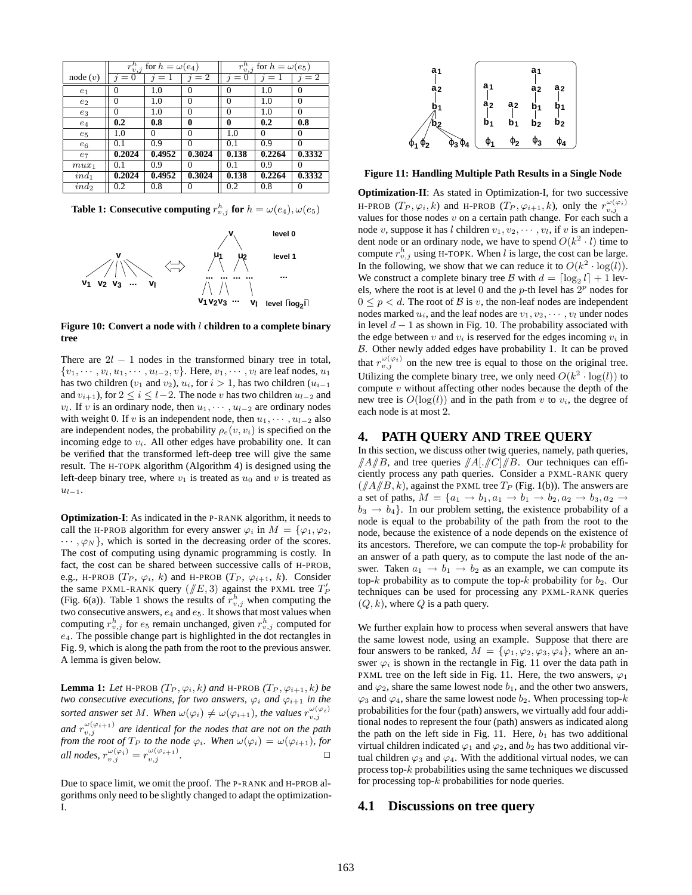|                | ; for $h = \omega(e_4)$<br>$r_{\underline{v},j}^h$ |                             |          | $r^h$<br>for $h = \omega(e_5)$<br>$v, \eta$ |          |          |
|----------------|----------------------------------------------------|-----------------------------|----------|---------------------------------------------|----------|----------|
| node(v)        | 0                                                  | $=1$<br>$\boldsymbol{\eta}$ | $i=2$    | $\Omega$<br>=                               | $=$ 1    | $=2$     |
| e <sub>1</sub> |                                                    | 1.0                         | $\theta$ | 0                                           | 1.0      | 0        |
| $e_2$          | 0                                                  | 1.0                         | $\theta$ | 0                                           | 1.0      | 0        |
| $e_3$          | 0                                                  | 1.0                         | $\Omega$ | 0                                           | 1.0      | $\Omega$ |
| $e_4$          | 0.2                                                | 0.8                         | 0        | 0                                           | 0.2      | 0.8      |
| $e_5$          | 1.0                                                | $\Omega$                    | $\Omega$ | 1.0                                         | $\Omega$ | $\Omega$ |
| $e_6$          | 0.1                                                | 0.9                         | $\Omega$ | 0.1                                         | 0.9      | $\Omega$ |
| $e_7$          | 0.2024                                             | 0.4952                      | 0.3024   | 0.138                                       | 0.2264   | 0.3332   |
| $mux_1$        | 0.1                                                | 0.9                         | $\theta$ | 0.1                                         | 0.9      | $_{0}$   |
| $ind_1$        | 0.2024                                             | 0.4952                      | 0.3024   | 0.138                                       | 0.2264   | 0.3332   |
| $ind_2$        | 0.2                                                | 0.8                         | $_{0}$   | 0.2                                         | 0.8      | 0        |

**Table 1: Consecutive computing**  $r_{v,j}^h$  for  $h = \omega(e_4), \omega(e_5)$ 



**Figure 10: Convert a node with** l **children to a complete binary tree**

There are  $2l - 1$  nodes in the transformed binary tree in total,  $\{v_1, \dots, v_l, u_1, \dots, u_{l-2}, v\}$ . Here,  $v_1, \dots, v_l$  are leaf nodes,  $u_1$ has two children ( $v_1$  and  $v_2$ ),  $u_i$ , for  $i > 1$ , has two children ( $u_{i-1}$ ) and  $v_{i+1}$ ), for  $2 \le i \le l-2$ . The node v has two children  $u_{l-2}$  and  $v_l$ . If v is an ordinary node, then  $u_1, \dots, u_{l-2}$  are ordinary nodes with weight 0. If v is an independent node, then  $u_1, \dots, u_{l-2}$  also are independent nodes, the probability  $\rho_e(v, v_i)$  is specified on the incoming edge to  $v_i$ . All other edges have probability one. It can be verified that the transformed left-deep tree will give the same result. The H-TOPK algorithm (Algorithm 4) is designed using the left-deep binary tree, where  $v_1$  is treated as  $u_0$  and v is treated as  $u_{l-1}$ .

**Optimization-I**: As indicated in the P-RANK algorithm, it needs to call the H-PROB algorithm for every answer  $\varphi_i$  in  $M = {\varphi_1, \varphi_2, \varphi_1, \varphi_2, \varphi_2, \varphi_3, \varphi_4, \varphi_5, \varphi_6, \varphi_7, \varphi_8, \varphi_7, \varphi_8, \varphi_9, \varphi_9, \varphi_1, \varphi_8, \varphi_9, \varphi_9, \varphi_1, \varphi_8, \varphi_9, \varphi_1, \varphi_2, \varphi_4, \varphi_7, \varphi_8, \varphi$  $\cdots$ ,  $\varphi_N$ , which is sorted in the decreasing order of the scores. The cost of computing using dynamic programming is costly. In fact, the cost can be shared between successive calls of H-PROB, e.g., H-PROB ( $T_P$ ,  $\varphi_i$ , k) and H-PROB ( $T_P$ ,  $\varphi_{i+1}$ , k). Consider the same PXML-RANK query  $(\sqrt{E}, 3)$  against the PXML tree  $T'_P$ (Fig. 6(a)). Table 1 shows the results of  $r_{v,j}^h$  when computing the two consecutive answers,  $e_4$  and  $e_5$ . It shows that most values when computing  $r_{v,j}^h$  for  $e_5$  remain unchanged, given  $r_{v,j}^h$  computed for e4. The possible change part is highlighted in the dot rectangles in Fig. 9, which is along the path from the root to the previous answer. A lemma is given below.

**Lemma 1:** Let H-PROB  $(T_P, \varphi_i, k)$  and H-PROB  $(T_P, \varphi_{i+1}, k)$  be *two consecutive executions, for two answers,*  $\varphi_i$  *and*  $\varphi_{i+1}$  *in the sorted answer set* M. When  $\omega(\varphi_i) \neq \omega(\varphi_{i+1})$ , the values  $r_{v,j}^{\omega(\varphi_i)}$ and  $r_{v,j}^{\omega(\varphi_{i+1})}$  are identical for the nodes that are not on the path *from the root of*  $T_P$  *to the node*  $\varphi_i$ *. When*  $\omega(\varphi_i) = \omega(\varphi_{i+1})$ *, for all nodes,*  $r_{v,j}^{\omega(\varphi_i)} = r_{v,j}^{\omega(\varphi_{i+1})}$ .

Due to space limit, we omit the proof. The P-RANK and H-PROB algorithms only need to be slightly changed to adapt the optimization-I.



**Figure 11: Handling Multiple Path Results in a Single Node**

**Optimization-II**: As stated in Optimization-I, for two successive H-PROB  $(T_P, \varphi_i, k)$  and H-PROB  $(T_P, \varphi_{i+1}, k)$ , only the  $r_{v,j}^{\omega(\varphi_i)}$ values for those nodes  $v$  on a certain path change. For each such a node v, suppose it has l children  $v_1, v_2, \dots, v_l$ , if v is an independent node or an ordinary node, we have to spend  $O(k^2 \cdot l)$  time to compute  $r_{v,j}^h$  using H-TOPK. When l is large, the cost can be large. In the following, we show that we can reduce it to  $O(k^2 \cdot \log(l))$ . We construct a complete binary tree B with  $d = \lceil \log_2 l \rceil + 1$  levels, where the root is at level 0 and the p-th level has  $2^p$  nodes for  $0 \leq p \leq d$ . The root of  $\beta$  is v, the non-leaf nodes are independent nodes marked  $u_i$ , and the leaf nodes are  $v_1, v_2, \dots, v_l$  under nodes in level  $d - 1$  as shown in Fig. 10. The probability associated with the edge between v and  $v_i$  is reserved for the edges incoming  $v_i$  in B. Other newly added edges have probability 1. It can be proved that  $r_{v,j}^{\omega(\varphi_i)}$  on the new tree is equal to those on the original tree. Utilizing the complete binary tree, we only need  $O(k^2 \cdot \log(l))$  to compute  $v$  without affecting other nodes because the depth of the new tree is  $O(log(l))$  and in the path from v to  $v_i$ , the degree of each node is at most 2.

#### **4. PATH QUERY AND TREE QUERY**

In this section, we discuss other twig queries, namely, path queries,  $\|A\|B$ , and tree queries  $\|A\|$ .  $\|C\|$  B. Our techniques can efficiently process any path queries. Consider a PXML-RANK query  $(\sqrt{A/B}, k)$ , against the PXML tree  $T_P$  (Fig. 1(b)). The answers are a set of paths,  $M = \{a_1 \rightarrow b_1, a_1 \rightarrow b_1 \rightarrow b_2, a_2 \rightarrow b_3, a_2 \rightarrow b_3, a_3 \rightarrow b_3, a_4 \}$  $b_3 \rightarrow b_4$ . In our problem setting, the existence probability of a node is equal to the probability of the path from the root to the node, because the existence of a node depends on the existence of its ancestors. Therefore, we can compute the top- $k$  probability for an answer of a path query, as to compute the last node of the answer. Taken  $a_1 \rightarrow b_1 \rightarrow b_2$  as an example, we can compute its top-k probability as to compute the top-k probability for  $b_2$ . Our techniques can be used for processing any PXML-RANK queries  $(Q, k)$ , where Q is a path query.

We further explain how to process when several answers that have the same lowest node, using an example. Suppose that there are four answers to be ranked,  $M = {\varphi_1, \varphi_2, \varphi_3, \varphi_4}$ , where an answer  $\varphi_i$  is shown in the rectangle in Fig. 11 over the data path in PXML tree on the left side in Fig. 11. Here, the two answers,  $\varphi_1$ and  $\varphi_2$ , share the same lowest node  $b_1$ , and the other two answers,  $\varphi_3$  and  $\varphi_4$ , share the same lowest node  $b_2$ . When processing top-k probabilities for the four (path) answers, we virtually add four additional nodes to represent the four (path) answers as indicated along the path on the left side in Fig. 11. Here,  $b_1$  has two additional virtual children indicated  $\varphi_1$  and  $\varphi_2$ , and  $b_2$  has two additional virtual children  $\varphi_3$  and  $\varphi_4$ . With the additional virtual nodes, we can process top- $k$  probabilities using the same techniques we discussed for processing top- $k$  probabilities for node queries.

#### **4.1 Discussions on tree query**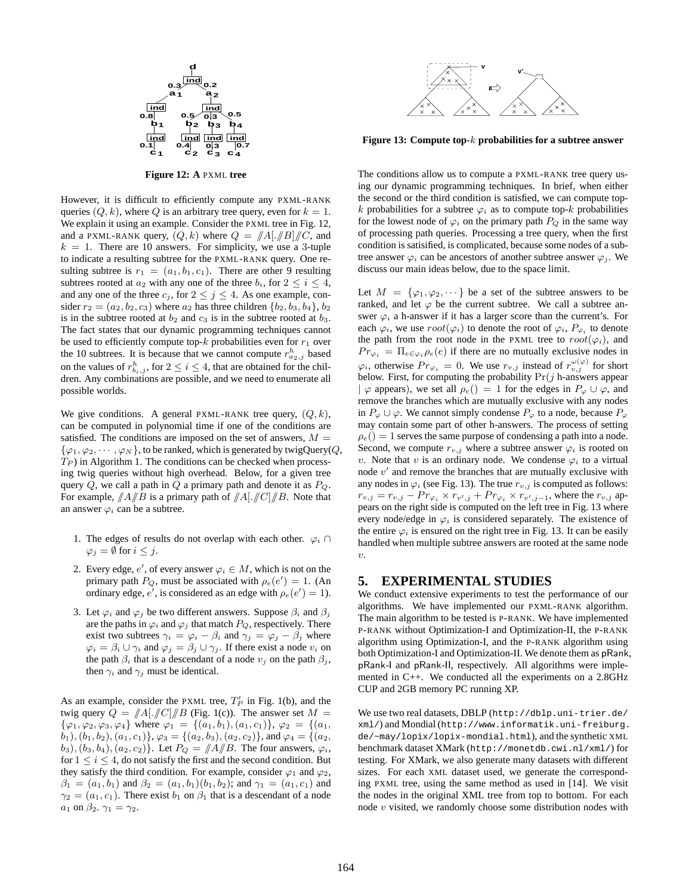

**Figure 12: A** PXML **tree**

However, it is difficult to efficiently compute any PXML-RANK queries  $(Q, k)$ , where Q is an arbitrary tree query, even for  $k = 1$ . We explain it using an example. Consider the PXML tree in Fig. 12, and a PXML-RANK query,  $(Q, k)$  where  $Q = ||A| ||B|| ||C$ , and  $k = 1$ . There are 10 answers. For simplicity, we use a 3-tuple to indicate a resulting subtree for the PXML-RANK query. One resulting subtree is  $r_1 = (a_1, b_1, c_1)$ . There are other 9 resulting subtrees rooted at  $a_2$  with any one of the three  $b_i$ , for  $2 \le i \le 4$ , and any one of the three  $c_j$ , for  $2 \leq j \leq 4$ . As one example, consider  $r_2 = (a_2, b_2, c_3)$  where  $a_2$  has three children  $\{b_2, b_3, b_4\}, b_2$ is in the subtree rooted at  $b_2$  and  $c_3$  is in the subtree rooted at  $b_3$ . The fact states that our dynamic programming techniques cannot be used to efficiently compute top- $k$  probabilities even for  $r_1$  over the 10 subtrees. It is because that we cannot compute  $r_{a_2,j}^h$  based on the values of  $r_{b_i,j}^h$ , for  $2 \leq i \leq 4$ , that are obtained for the children. Any combinations are possible, and we need to enumerate all possible worlds.

We give conditions. A general PXML-RANK tree query,  $(Q, k)$ , can be computed in polynomial time if one of the conditions are satisfied. The conditions are imposed on the set of answers,  $M =$  $\{\varphi_1,\varphi_2,\cdots,\varphi_N\}$ , to be ranked, which is generated by twigQuery(Q,  $T_P$ ) in Algorithm 1. The conditions can be checked when processing twig queries without high overhead. Below, for a given tree query  $Q$ , we call a path in  $Q$  a primary path and denote it as  $P_Q$ . For example,  $\frac{1}{A}$   $\frac{1}{B}$  is a primary path of  $\frac{1}{A}$ .  $\frac{1}{C}$   $\frac{1}{B}$ . Note that an answer  $\varphi_i$  can be a subtree.

- 1. The edges of results do not overlap with each other.  $\varphi_i \cap$  $\varphi_i = \emptyset$  for  $i \leq j$ .
- 2. Every edge, e', of every answer  $\varphi_i \in M$ , which is not on the primary path  $P_Q$ , must be associated with  $\rho_e(e') = 1$ . (An ordinary edge, e', is considered as an edge with  $\rho_e(e') = 1$ ).
- 3. Let  $\varphi_i$  and  $\varphi_j$  be two different answers. Suppose  $\beta_i$  and  $\beta_j$ are the paths in  $\varphi_i$  and  $\varphi_j$  that match  $P_Q$ , respectively. There exist two subtrees  $\gamma_i = \varphi_i - \beta_i$  and  $\gamma_j = \varphi_j - \beta_j$  where  $\varphi_i = \beta_i \cup \gamma_i$  and  $\varphi_j = \beta_j \cup \gamma_j$ . If there exist a node  $v_i$  on the path  $\beta_i$  that is a descendant of a node  $v_j$  on the path  $\beta_j$ , then  $\gamma_i$  and  $\gamma_j$  must be identical.

As an example, consider the PXML tree,  $T'_P$  in Fig. 1(b), and the twig query  $Q = |A|$ .  $||C||/||B$  (Fig. 1(c)). The answer set  $M =$  $\{\varphi_1, \varphi_2, \varphi_3, \varphi_4\}$  where  $\varphi_1 = \{(a_1, b_1), (a_1, c_1)\}, \varphi_2 = \{(a_1, b_1), (a_1, c_1)\}$  $(b_1), (b_1, b_2), (a_1, c_1) \}, \varphi_3 = \{(a_2, b_3), (a_2, c_2) \}, \text{ and } \varphi_4 = \{(a_2, b_3), (a_2, c_2) \}$  $(b_3)$ ,  $(b_3, b_4)$ ,  $(a_2, c_2)$ . Let  $P_Q = ||A||/B$ . The four answers,  $\varphi_i$ , for  $1 \leq i \leq 4$ , do not satisfy the first and the second condition. But they satisfy the third condition. For example, consider  $\varphi_1$  and  $\varphi_2$ ,  $\beta_1 = (a_1, b_1)$  and  $\beta_2 = (a_1, b_1)(b_1, b_2)$ ; and  $\gamma_1 = (a_1, c_1)$  and  $\gamma_2 = (a_1, c_1)$ . There exist  $b_1$  on  $\beta_1$  that is a descendant of a node  $a_1$  on  $\beta_2$ .  $\gamma_1 = \gamma_2$ .



**Figure 13: Compute top-**k **probabilities for a subtree answer**

The conditions allow us to compute a PXML-RANK tree query using our dynamic programming techniques. In brief, when either the second or the third condition is satisfied, we can compute topk probabilities for a subtree  $\varphi_i$  as to compute top-k probabilities for the lowest node of  $\varphi_i$  on the primary path  $P_Q$  in the same way of processing path queries. Processing a tree query, when the first condition is satisified, is complicated, because some nodes of a subtree answer  $\varphi_i$  can be ancestors of another subtree answer  $\varphi_i$ . We discuss our main ideas below, due to the space limit.

Let  $M = {\varphi_1, \varphi_2, \cdots}$  be a set of the subtree answers to be ranked, and let  $\varphi$  be the current subtree. We call a subtree answer  $\varphi_i$  a h-answer if it has a larger score than the current's. For each  $\varphi_i$ , we use  $root(\varphi_i)$  to denote the root of  $\varphi_i$ ,  $P_{\varphi_i}$  to denote the path from the root node in the PXML tree to  $root(\varphi_i)$ , and  $Pr_{\varphi_i} = \Pi_{e \in \varphi_i} \rho_e(e)$  if there are no mutually exclusive nodes in  $\varphi_i$ , otherwise  $Pr_{\varphi_i} = 0$ . We use  $r_{v,j}$  instead of  $r_{v,j}^{\omega(\varphi)}$  for short below. First, for computing the probability  $Pr(j$  h-answers appear  $| \varphi$  appears), we set all  $\rho_e() = 1$  for the edges in  $P_\varphi \cup \varphi$ , and remove the branches which are mutually exclusive with any nodes in  $P_{\varphi} \cup \varphi$ . We cannot simply condense  $P_{\varphi}$  to a node, because  $P_{\varphi}$ may contain some part of other h-answers. The process of setting  $\rho_e() = 1$  serves the same purpose of condensing a path into a node. Second, we compute  $r_{v,j}$  where a subtree answer  $\varphi_i$  is rooted on v. Note that v is an ordinary node. We condense  $\varphi_i$  to a virtual node  $v'$  and remove the branches that are mutually exclusive with any nodes in  $\varphi_i$  (see Fig. 13). The true  $r_{v,j}$  is computed as follows:  $r_{v,j} = r_{v,j} - Pr_{\varphi_i} \times r_{v',j} + Pr_{\varphi_i} \times r_{v',j-1}$ , where the  $r_{v,j}$  appears on the right side is computed on the left tree in Fig. 13 where every node/edge in  $\varphi_i$  is considered separately. The existence of the entire  $\varphi_i$  is ensured on the right tree in Fig. 13. It can be easily handled when multiple subtree answers are rooted at the same node  $\overline{v}$ .

#### **5. EXPERIMENTAL STUDIES**

We conduct extensive experiments to test the performance of our algorithms. We have implemented our PXML-RANK algorithm. The main algorithm to be tested is P-RANK. We have implemented P-RANK without Optimization-I and Optimization-II, the P-RANK algorithm using Optimization-I, and the P-RANK algorithm using both Optimization-I and Optimization-II. We denote them as pRank, pRank-I and pRank-II, respectively. All algorithms were implemented in C++. We conducted all the experiments on a 2.8GHz CUP and 2GB memory PC running XP.

We use two real datasets, DBLP (http://dblp.uni-trier.de/ xml/) and Mondial (http://www.informatik.uni-freiburg. de/~may/lopix/lopix-mondial.html), and the synthetic XML benchmark dataset XMark (http://monetdb.cwi.nl/xml/) for testing. For XMark, we also generate many datasets with different sizes. For each XML dataset used, we generate the corresponding PXML tree, using the same method as used in [14]. We visit the nodes in the original XML tree from top to bottom. For each node  $v$  visited, we randomly choose some distribution nodes with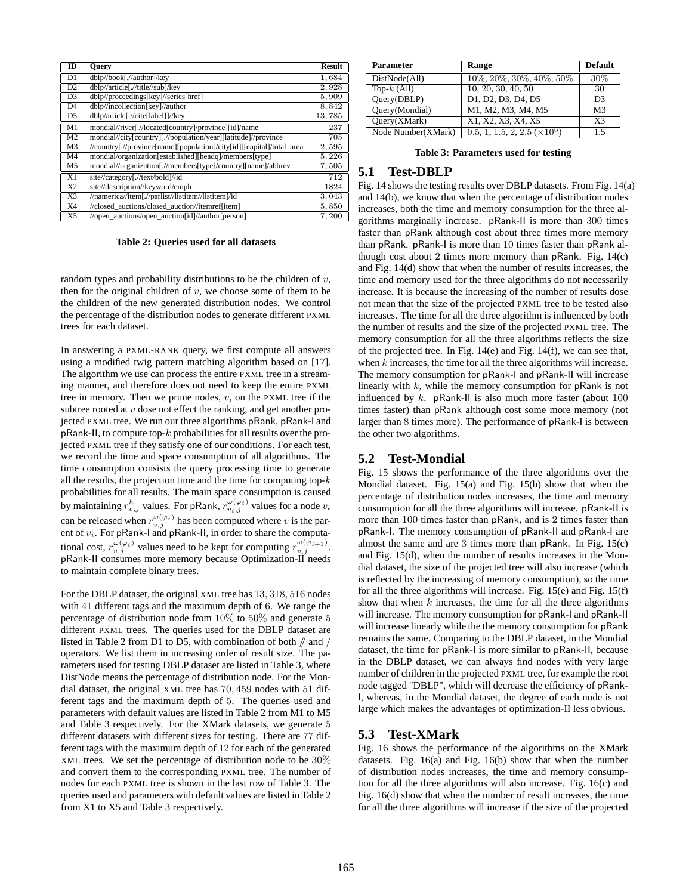| m               | <b>Ouery</b>                                                          | <b>Result</b> |
|-----------------|-----------------------------------------------------------------------|---------------|
| D1              | dblp//book[.//author]/key                                             | 1,684         |
| D2              | dblp//article[.//title//sub]/key                                      | 2,928         |
| D <sub>3</sub>  | dblp//proceedings[key]//series[href]                                  | 5,909         |
| D <sub>4</sub>  | dblp//incollection[key]//author                                       | 8,842         |
| D5              | dblp/article[.//cite[label]]//key                                     | 13,785        |
| M1              | mondial//river[.//located[country]/province][id]/name                 | 237           |
| M <sub>2</sub>  | mondial//city[country][.//population/year][latitude]//province        | 705           |
| M <sub>3</sub>  | //country[.//province[name][population]/city[id]][capital]/total_area | 2,595         |
| M <sub>4</sub>  | mondial/organization[established][headq]/members[type]                | 5,226         |
| M <sub>5</sub>  | mondial//organization[.//members[type]/country][name]/abbrev          | 7,505         |
| X1              | site//category[.//text/bold]//id                                      | 712           |
| $\overline{X2}$ | site//description//keyword/emph                                       | 1824          |
| X3              | //namerica//item[.//parlist//listitem//listitem]/id                   | 3,043         |
| X <sub>4</sub>  | //closed_auctions/closed_auction//itemref[item]                       | 5,850         |
| X <sub>5</sub>  | //open auctions/open auction[id]//author[person]                      | 7,200         |

**Table 2: Queries used for all datasets**

random types and probability distributions to be the children of  $v$ , then for the original children of  $v$ , we choose some of them to be the children of the new generated distribution nodes. We control the percentage of the distribution nodes to generate different PXML trees for each dataset.

In answering a PXML-RANK query, we first compute all answers using a modified twig pattern matching algorithm based on [17]. The algorithm we use can process the entire PXML tree in a streaming manner, and therefore does not need to keep the entire PXML tree in memory. Then we prune nodes,  $v$ , on the PXML tree if the subtree rooted at  $v$  dose not effect the ranking, and get another projected PXML tree. We run our three algorithms pRank, pRank-I and pRank-II, to compute top-k probabilities for all results over the projected PXML tree if they satisfy one of our conditions. For each test, we record the time and space consumption of all algorithms. The time consumption consists the query processing time to generate all the results, the projection time and the time for computing top- $k$ probabilities for all results. The main space consumption is caused by maintaining  $r_{v,j}^h$  values. For pRank,  $r_{v_i,j}^{\omega(\varphi_i)}$  values for a node  $v_i$ can be released when  $r_{v,j}^{\omega(\varphi_i)}$  has been computed where v is the parent of  $v_i$ . For pRank-I and pRank-II, in order to share the computational cost,  $r_{v,j}^{\omega(\varphi_i)}$  values need to be kept for computing  $r_{v,j}^{\omega(\varphi_{i+1})}$ . pRank-II consumes more memory because Optimization-II needs to maintain complete binary trees.

For the DBLP dataset, the original XML tree has 13, 318, 516 nodes with 41 different tags and the maximum depth of 6. We range the percentage of distribution node from 10% to 50% and generate 5 different PXML trees. The queries used for the DBLP dataset are listed in Table 2 from D1 to D5, with combination of both  $//$  and  $//$ operators. We list them in increasing order of result size. The parameters used for testing DBLP dataset are listed in Table 3, where DistNode means the percentage of distribution node. For the Mondial dataset, the original XML tree has 70, 459 nodes with 51 different tags and the maximum depth of 5. The queries used and parameters with default values are listed in Table 2 from M1 to M5 and Table 3 respectively. For the XMark datasets, we generate 5 different datasets with different sizes for testing. There are 77 different tags with the maximum depth of 12 for each of the generated XML trees. We set the percentage of distribution node to be 30% and convert them to the corresponding PXML tree. The number of nodes for each PXML tree is shown in the last row of Table 3. The queries used and parameters with default values are listed in Table 2 from X1 to X5 and Table 3 respectively.

| <b>Parameter</b>   | Range                             | <b>Default</b> |
|--------------------|-----------------------------------|----------------|
| DistNode(All)      | 10\%, 20\%, 30\%, 40\%, 50\%      | 30\%           |
| Top- $k$ (All)     | 10, 20, 30, 40, 50                | 30             |
| Ouery(DBLP)        | D1, D2, D3, D4, D5                | D3             |
| Query(Mondial)     | M1, M2, M3, M4, M5                | M <sup>3</sup> |
| Ouery(XMark)       | X1, X2, X3, X4, X5                | X <sup>3</sup> |
| Node Number(XMark) | $0.5, 1, 1.5, 2, 2.5 \times 10^6$ | 1.5            |

**Table 3: Parameters used for testing**

# **5.1 Test-DBLP**

Fig. 14 shows the testing results over DBLP datasets. From Fig. 14(a) and 14(b), we know that when the percentage of distribution nodes increases, both the time and memory consumption for the three algorithms marginally increase. pRank-II is more than 300 times faster than pRank although cost about three times more memory than pRank. pRank-I is more than 10 times faster than pRank although cost about 2 times more memory than  $p$ Rank. Fig.  $14(c)$ and Fig. 14(d) show that when the number of results increases, the time and memory used for the three algorithms do not necessarily increase. It is because the increasing of the number of results dose not mean that the size of the projected PXML tree to be tested also increases. The time for all the three algorithm is influenced by both the number of results and the size of the projected PXML tree. The memory consumption for all the three algorithms reflects the size of the projected tree. In Fig. 14(e) and Fig. 14(f), we can see that, when k increases, the time for all the three algorithms will increase. The memory consumption for pRank-I and pRank-II will increase linearly with  $k$ , while the memory consumption for  $pRank$  is not influenced by  $k$ . pRank-II is also much more faster (about  $100$ times faster) than pRank although cost some more memory (not larger than 8 times more). The performance of pRank-I is between the other two algorithms.

## **5.2 Test-Mondial**

Fig. 15 shows the performance of the three algorithms over the Mondial dataset. Fig. 15(a) and Fig. 15(b) show that when the percentage of distribution nodes increases, the time and memory consumption for all the three algorithms will increase. pRank-II is more than 100 times faster than pRank, and is 2 times faster than pRank-I. The memory consumption of pRank-II and pRank-I are almost the same and are 3 times more than pRank. In Fig. 15(c) and Fig. 15(d), when the number of results increases in the Mondial dataset, the size of the projected tree will also increase (which is reflected by the increasing of memory consumption), so the time for all the three algorithms will increase. Fig.  $15(e)$  and Fig.  $15(f)$ show that when  $k$  increases, the time for all the three algorithms will increase. The memory consumption for pRank-I and pRank-II will increase linearly while the the memory consumption for pRank remains the same. Comparing to the DBLP dataset, in the Mondial dataset, the time for pRank-I is more similar to pRank-II, because in the DBLP dataset, we can always find nodes with very large number of children in the projected PXML tree, for example the root node tagged "DBLP", which will decrease the efficiency of pRank-I, whereas, in the Mondial dataset, the degree of each node is not large which makes the advantages of optimization-II less obvious.

## **5.3 Test-XMark**

Fig. 16 shows the performance of the algorithms on the XMark datasets. Fig. 16(a) and Fig. 16(b) show that when the number of distribution nodes increases, the time and memory consumption for all the three algorithms will also increase. Fig. 16(c) and Fig. 16(d) show that when the number of result increases, the time for all the three algorithms will increase if the size of the projected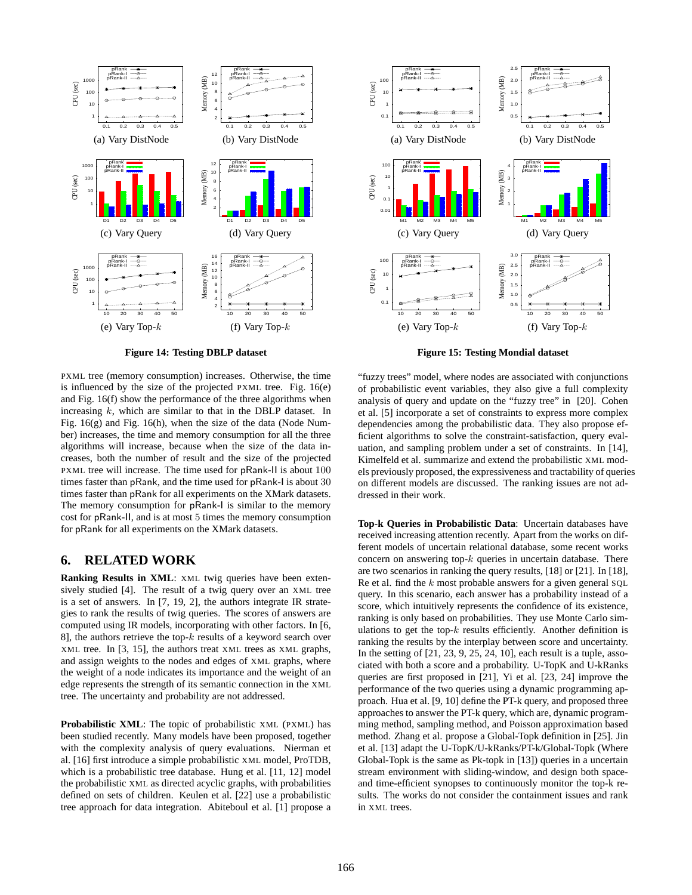

**Figure 14: Testing DBLP dataset**

PXML tree (memory consumption) increases. Otherwise, the time is influenced by the size of the projected PXML tree. Fig. 16(e) and Fig. 16(f) show the performance of the three algorithms when increasing  $k$ , which are similar to that in the DBLP dataset. In Fig. 16(g) and Fig. 16(h), when the size of the data (Node Number) increases, the time and memory consumption for all the three algorithms will increase, because when the size of the data increases, both the number of result and the size of the projected PXML tree will increase. The time used for pRank-II is about 100 times faster than pRank, and the time used for pRank-I is about 30 times faster than pRank for all experiments on the XMark datasets. The memory consumption for pRank-I is similar to the memory cost for pRank-II, and is at most 5 times the memory consumption for pRank for all experiments on the XMark datasets.

# **6. RELATED WORK**

**Ranking Results in XML**: XML twig queries have been extensively studied [4]. The result of a twig query over an XML tree is a set of answers. In [7, 19, 2], the authors integrate IR strategies to rank the results of twig queries. The scores of answers are computed using IR models, incorporating with other factors. In [6, 8], the authors retrieve the top- $k$  results of a keyword search over XML tree. In [3, 15], the authors treat XML trees as XML graphs, and assign weights to the nodes and edges of XML graphs, where the weight of a node indicates its importance and the weight of an edge represents the strength of its semantic connection in the XML tree. The uncertainty and probability are not addressed.

**Probabilistic XML**: The topic of probabilistic XML (PXML) has been studied recently. Many models have been proposed, together with the complexity analysis of query evaluations. Nierman et al. [16] first introduce a simple probabilistic XML model, ProTDB, which is a probabilistic tree database. Hung et al. [11, 12] model the probabilistic XML as directed acyclic graphs, with probabilities defined on sets of children. Keulen et al. [22] use a probabilistic tree approach for data integration. Abiteboul et al. [1] propose a



**Figure 15: Testing Mondial dataset**

"fuzzy trees" model, where nodes are associated with conjunctions of probabilistic event variables, they also give a full complexity analysis of query and update on the "fuzzy tree" in [20]. Cohen et al. [5] incorporate a set of constraints to express more complex dependencies among the probabilistic data. They also propose efficient algorithms to solve the constraint-satisfaction, query evaluation, and sampling problem under a set of constraints. In [14], Kimelfeld et al. summarize and extend the probabilistic XML models previously proposed, the expressiveness and tractability of queries on different models are discussed. The ranking issues are not addressed in their work.

**Top-k Queries in Probabilistic Data**: Uncertain databases have received increasing attention recently. Apart from the works on different models of uncertain relational database, some recent works concern on answering top- $k$  queries in uncertain database. There are two scenarios in ranking the query results, [18] or [21]. In [18], Re et al. find the  $k$  most probable answers for a given general SQL query. In this scenario, each answer has a probability instead of a score, which intuitively represents the confidence of its existence, ranking is only based on probabilities. They use Monte Carlo simulations to get the top- $k$  results efficiently. Another definition is ranking the results by the interplay between score and uncertainty. In the setting of  $[21, 23, 9, 25, 24, 10]$ , each result is a tuple, associated with both a score and a probability. U-TopK and U-kRanks queries are first proposed in [21], Yi et al. [23, 24] improve the performance of the two queries using a dynamic programming approach. Hua et al. [9, 10] define the PT-k query, and proposed three approaches to answer the PT-k query, which are, dynamic programming method, sampling method, and Poisson approximation based method. Zhang et al. propose a Global-Topk definition in [25]. Jin et al. [13] adapt the U-TopK/U-kRanks/PT-k/Global-Topk (Where Global-Topk is the same as Pk-topk in [13]) queries in a uncertain stream environment with sliding-window, and design both spaceand time-efficient synopses to continuously monitor the top-k results. The works do not consider the containment issues and rank in XML trees.